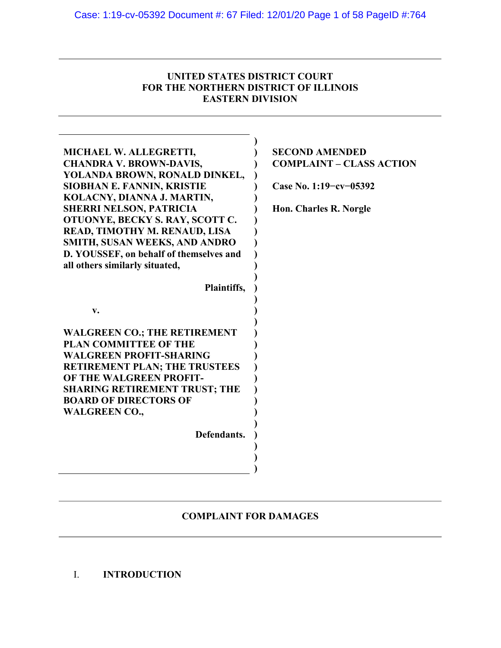## **UNITED STATES DISTRICT COURT FOR THE NORTHERN DISTRICT OF ILLINOIS EASTERN DIVISION**

| MICHAEL W. ALLEGRETTI,<br><b>CHANDRA V. BROWN-DAVIS,</b><br>YOLANDA BROWN, RONALD DINKEL,<br>SIOBHAN E. FANNIN, KRISTIE<br>KOLACNY, DIANNA J. MARTIN,<br><b>SHERRI NELSON, PATRICIA</b><br>OTUONYE, BECKY S. RAY, SCOTT C.<br>READ, TIMOTHY M. RENAUD, LISA<br><b>SMITH, SUSAN WEEKS, AND ANDRO</b><br>D. YOUSSEF, on behalf of themselves and<br>all others similarly situated,<br>Plaintiffs, | <b>SECOND AMENDED</b><br><b>COMPLAINT - CLASS ACTION</b><br>Case No. 1:19-cv-05392<br>Hon. Charles R. Norgle |
|-------------------------------------------------------------------------------------------------------------------------------------------------------------------------------------------------------------------------------------------------------------------------------------------------------------------------------------------------------------------------------------------------|--------------------------------------------------------------------------------------------------------------|
|                                                                                                                                                                                                                                                                                                                                                                                                 |                                                                                                              |
| v.                                                                                                                                                                                                                                                                                                                                                                                              |                                                                                                              |
| <b>WALGREEN CO.; THE RETIREMENT</b><br><b>PLAN COMMITTEE OF THE</b>                                                                                                                                                                                                                                                                                                                             |                                                                                                              |
| <b>WALGREEN PROFIT-SHARING</b>                                                                                                                                                                                                                                                                                                                                                                  |                                                                                                              |
| <b>RETIREMENT PLAN; THE TRUSTEES</b>                                                                                                                                                                                                                                                                                                                                                            |                                                                                                              |
| OF THE WALGREEN PROFIT-                                                                                                                                                                                                                                                                                                                                                                         |                                                                                                              |
| <b>SHARING RETIREMENT TRUST; THE</b>                                                                                                                                                                                                                                                                                                                                                            |                                                                                                              |
| <b>BOARD OF DIRECTORS OF</b>                                                                                                                                                                                                                                                                                                                                                                    |                                                                                                              |
| <b>WALGREEN CO.,</b>                                                                                                                                                                                                                                                                                                                                                                            |                                                                                                              |
| Defendants.                                                                                                                                                                                                                                                                                                                                                                                     |                                                                                                              |
|                                                                                                                                                                                                                                                                                                                                                                                                 |                                                                                                              |
|                                                                                                                                                                                                                                                                                                                                                                                                 |                                                                                                              |
|                                                                                                                                                                                                                                                                                                                                                                                                 |                                                                                                              |

## **COMPLAINT FOR DAMAGES**

I. **INTRODUCTION**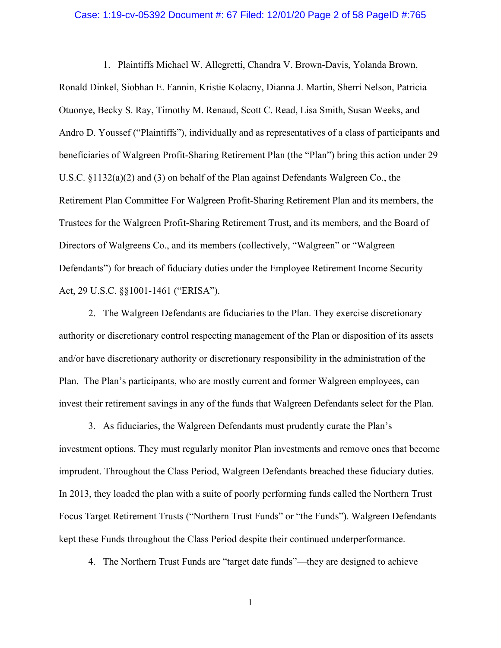### Case: 1:19-cv-05392 Document #: 67 Filed: 12/01/20 Page 2 of 58 PageID #:765

1. Plaintiffs Michael W. Allegretti, Chandra V. Brown-Davis, Yolanda Brown, Ronald Dinkel, Siobhan E. Fannin, Kristie Kolacny, Dianna J. Martin, Sherri Nelson, Patricia Otuonye, Becky S. Ray, Timothy M. Renaud, Scott C. Read, Lisa Smith, Susan Weeks, and Andro D. Youssef ("Plaintiffs"), individually and as representatives of a class of participants and beneficiaries of Walgreen Profit-Sharing Retirement Plan (the "Plan") bring this action under 29 U.S.C. §1132(a)(2) and (3) on behalf of the Plan against Defendants Walgreen Co., the Retirement Plan Committee For Walgreen Profit-Sharing Retirement Plan and its members, the Trustees for the Walgreen Profit-Sharing Retirement Trust, and its members, and the Board of Directors of Walgreens Co., and its members (collectively, "Walgreen" or "Walgreen Defendants") for breach of fiduciary duties under the Employee Retirement Income Security Act, 29 U.S.C. §§1001-1461 ("ERISA").

2. The Walgreen Defendants are fiduciaries to the Plan. They exercise discretionary authority or discretionary control respecting management of the Plan or disposition of its assets and/or have discretionary authority or discretionary responsibility in the administration of the Plan. The Plan's participants, who are mostly current and former Walgreen employees, can invest their retirement savings in any of the funds that Walgreen Defendants select for the Plan.

3. As fiduciaries, the Walgreen Defendants must prudently curate the Plan's investment options. They must regularly monitor Plan investments and remove ones that become imprudent. Throughout the Class Period, Walgreen Defendants breached these fiduciary duties. In 2013, they loaded the plan with a suite of poorly performing funds called the Northern Trust Focus Target Retirement Trusts ("Northern Trust Funds" or "the Funds"). Walgreen Defendants kept these Funds throughout the Class Period despite their continued underperformance.

4. The Northern Trust Funds are "target date funds"—they are designed to achieve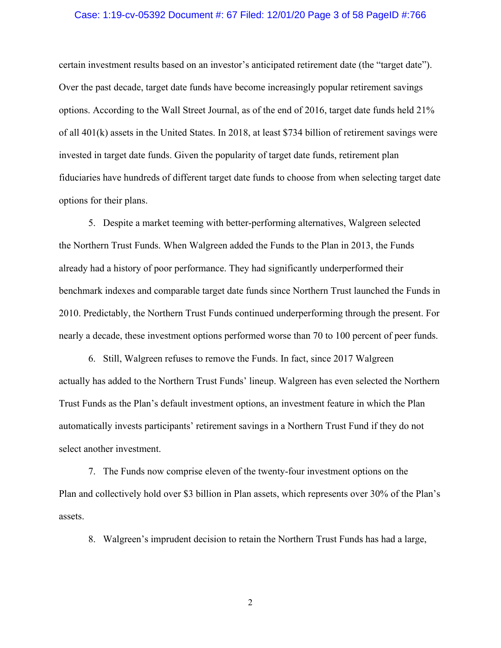### Case: 1:19-cv-05392 Document #: 67 Filed: 12/01/20 Page 3 of 58 PageID #:766

certain investment results based on an investor's anticipated retirement date (the "target date"). Over the past decade, target date funds have become increasingly popular retirement savings options. According to the Wall Street Journal, as of the end of 2016, target date funds held 21% of all 401(k) assets in the United States. In 2018, at least \$734 billion of retirement savings were invested in target date funds. Given the popularity of target date funds, retirement plan fiduciaries have hundreds of different target date funds to choose from when selecting target date options for their plans.

5. Despite a market teeming with better-performing alternatives, Walgreen selected the Northern Trust Funds. When Walgreen added the Funds to the Plan in 2013, the Funds already had a history of poor performance. They had significantly underperformed their benchmark indexes and comparable target date funds since Northern Trust launched the Funds in 2010. Predictably, the Northern Trust Funds continued underperforming through the present. For nearly a decade, these investment options performed worse than 70 to 100 percent of peer funds.

6. Still, Walgreen refuses to remove the Funds. In fact, since 2017 Walgreen actually has added to the Northern Trust Funds' lineup. Walgreen has even selected the Northern Trust Funds as the Plan's default investment options, an investment feature in which the Plan automatically invests participants' retirement savings in a Northern Trust Fund if they do not select another investment.

7. The Funds now comprise eleven of the twenty-four investment options on the Plan and collectively hold over \$3 billion in Plan assets, which represents over 30% of the Plan's assets.

8. Walgreen's imprudent decision to retain the Northern Trust Funds has had a large,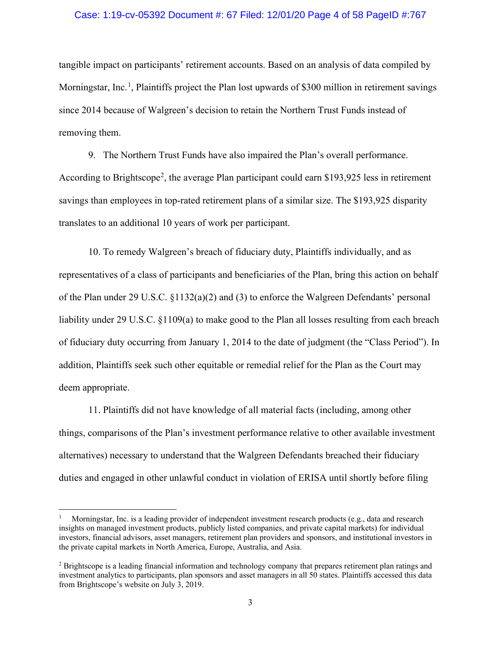### Case: 1:19-cv-05392 Document #: 67 Filed: 12/01/20 Page 4 of 58 PageID #:767

tangible impact on participants' retirement accounts. Based on an analysis of data compiled by Morningstar, Inc.<sup>[1](#page-3-0)</sup>, Plaintiffs project the Plan lost upwards of \$300 million in retirement savings since 2014 because of Walgreen's decision to retain the Northern Trust Funds instead of removing them.

9. The Northern Trust Funds have also impaired the Plan's overall performance. According to Brightscope<sup>[2](#page-3-1)</sup>, the average Plan participant could earn \$193,925 less in retirement savings than employees in top-rated retirement plans of a similar size. The \$193,925 disparity translates to an additional 10 years of work per participant.

10. To remedy Walgreen's breach of fiduciary duty, Plaintiffs individually, and as representatives of a class of participants and beneficiaries of the Plan, bring this action on behalf of the Plan under 29 U.S.C. §1132(a)(2) and (3) to enforce the Walgreen Defendants' personal liability under 29 U.S.C. §1109(a) to make good to the Plan all losses resulting from each breach of fiduciary duty occurring from January 1, 2014 to the date of judgment (the "Class Period"). In addition, Plaintiffs seek such other equitable or remedial relief for the Plan as the Court may deem appropriate.

11. Plaintiffs did not have knowledge of all material facts (including, among other things, comparisons of the Plan's investment performance relative to other available investment alternatives) necessary to understand that the Walgreen Defendants breached their fiduciary duties and engaged in other unlawful conduct in violation of ERISA until shortly before filing

<span id="page-3-0"></span><sup>1</sup> Morningstar, Inc. is a leading provider of independent investment research products (e.g., data and research insights on managed investment products, publicly listed companies, and private capital markets) for individual investors, financial advisors, asset managers, retirement plan providers and sponsors, and institutional investors in the private capital markets in North America, Europe, Australia, and Asia.

<span id="page-3-1"></span><sup>&</sup>lt;sup>2</sup> Brightscope is a leading financial information and technology company that prepares retirement plan ratings and investment analytics to participants, plan sponsors and asset managers in all 50 states. Plaintiffs accessed this data from Brightscope's website on July 3, 2019.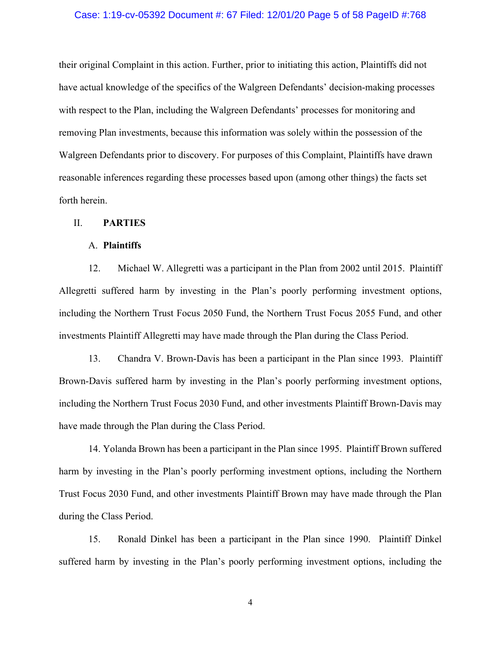### Case: 1:19-cv-05392 Document #: 67 Filed: 12/01/20 Page 5 of 58 PageID #:768

their original Complaint in this action. Further, prior to initiating this action, Plaintiffs did not have actual knowledge of the specifics of the Walgreen Defendants' decision-making processes with respect to the Plan, including the Walgreen Defendants' processes for monitoring and removing Plan investments, because this information was solely within the possession of the Walgreen Defendants prior to discovery. For purposes of this Complaint, Plaintiffs have drawn reasonable inferences regarding these processes based upon (among other things) the facts set forth herein.

### II. **PARTIES**

### A. **Plaintiffs**

12. Michael W. Allegretti was a participant in the Plan from 2002 until 2015. Plaintiff Allegretti suffered harm by investing in the Plan's poorly performing investment options, including the Northern Trust Focus 2050 Fund, the Northern Trust Focus 2055 Fund, and other investments Plaintiff Allegretti may have made through the Plan during the Class Period.

13. Chandra V. Brown-Davis has been a participant in the Plan since 1993. Plaintiff Brown-Davis suffered harm by investing in the Plan's poorly performing investment options, including the Northern Trust Focus 2030 Fund, and other investments Plaintiff Brown-Davis may have made through the Plan during the Class Period.

14. Yolanda Brown has been a participant in the Plan since 1995. Plaintiff Brown suffered harm by investing in the Plan's poorly performing investment options, including the Northern Trust Focus 2030 Fund, and other investments Plaintiff Brown may have made through the Plan during the Class Period.

15. Ronald Dinkel has been a participant in the Plan since 1990. Plaintiff Dinkel suffered harm by investing in the Plan's poorly performing investment options, including the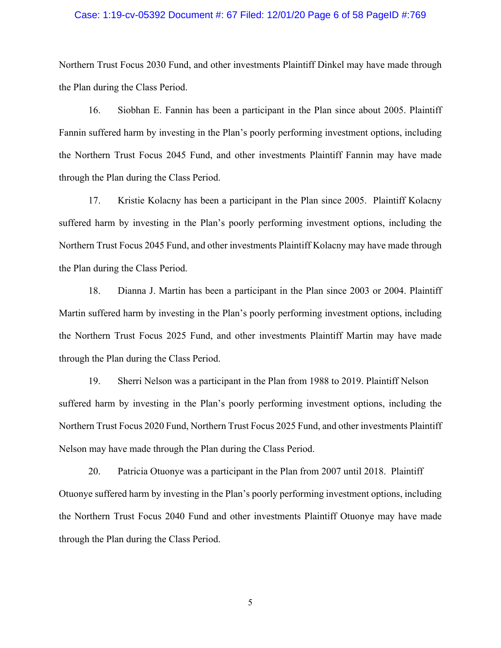### Case: 1:19-cv-05392 Document #: 67 Filed: 12/01/20 Page 6 of 58 PageID #:769

Northern Trust Focus 2030 Fund, and other investments Plaintiff Dinkel may have made through the Plan during the Class Period.

16. Siobhan E. Fannin has been a participant in the Plan since about 2005. Plaintiff Fannin suffered harm by investing in the Plan's poorly performing investment options, including the Northern Trust Focus 2045 Fund, and other investments Plaintiff Fannin may have made through the Plan during the Class Period.

17. Kristie Kolacny has been a participant in the Plan since 2005. Plaintiff Kolacny suffered harm by investing in the Plan's poorly performing investment options, including the Northern Trust Focus 2045 Fund, and other investments Plaintiff Kolacny may have made through the Plan during the Class Period.

18. Dianna J. Martin has been a participant in the Plan since 2003 or 2004. Plaintiff Martin suffered harm by investing in the Plan's poorly performing investment options, including the Northern Trust Focus 2025 Fund, and other investments Plaintiff Martin may have made through the Plan during the Class Period.

19. Sherri Nelson was a participant in the Plan from 1988 to 2019. Plaintiff Nelson suffered harm by investing in the Plan's poorly performing investment options, including the Northern Trust Focus 2020 Fund, Northern Trust Focus 2025 Fund, and other investments Plaintiff Nelson may have made through the Plan during the Class Period.

20. Patricia Otuonye was a participant in the Plan from 2007 until 2018. Plaintiff Otuonye suffered harm by investing in the Plan's poorly performing investment options, including the Northern Trust Focus 2040 Fund and other investments Plaintiff Otuonye may have made through the Plan during the Class Period.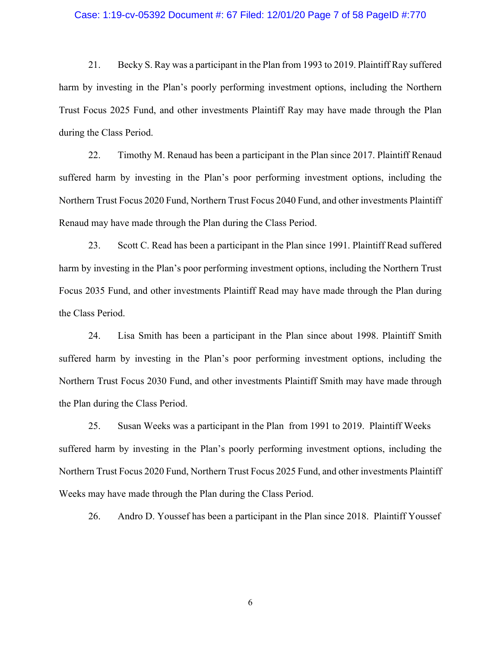### Case: 1:19-cv-05392 Document #: 67 Filed: 12/01/20 Page 7 of 58 PageID #:770

21. Becky S. Ray was a participant in the Plan from 1993 to 2019. Plaintiff Ray suffered harm by investing in the Plan's poorly performing investment options, including the Northern Trust Focus 2025 Fund, and other investments Plaintiff Ray may have made through the Plan during the Class Period.

22. Timothy M. Renaud has been a participant in the Plan since 2017. Plaintiff Renaud suffered harm by investing in the Plan's poor performing investment options, including the Northern Trust Focus 2020 Fund, Northern Trust Focus 2040 Fund, and other investments Plaintiff Renaud may have made through the Plan during the Class Period.

23. Scott C. Read has been a participant in the Plan since 1991. Plaintiff Read suffered harm by investing in the Plan's poor performing investment options, including the Northern Trust Focus 2035 Fund, and other investments Plaintiff Read may have made through the Plan during the Class Period.

24. Lisa Smith has been a participant in the Plan since about 1998. Plaintiff Smith suffered harm by investing in the Plan's poor performing investment options, including the Northern Trust Focus 2030 Fund, and other investments Plaintiff Smith may have made through the Plan during the Class Period.

25. Susan Weeks was a participant in the Plan from 1991 to 2019. Plaintiff Weeks suffered harm by investing in the Plan's poorly performing investment options, including the Northern Trust Focus 2020 Fund, Northern Trust Focus 2025 Fund, and other investments Plaintiff Weeks may have made through the Plan during the Class Period.

26. Andro D. Youssef has been a participant in the Plan since 2018. Plaintiff Youssef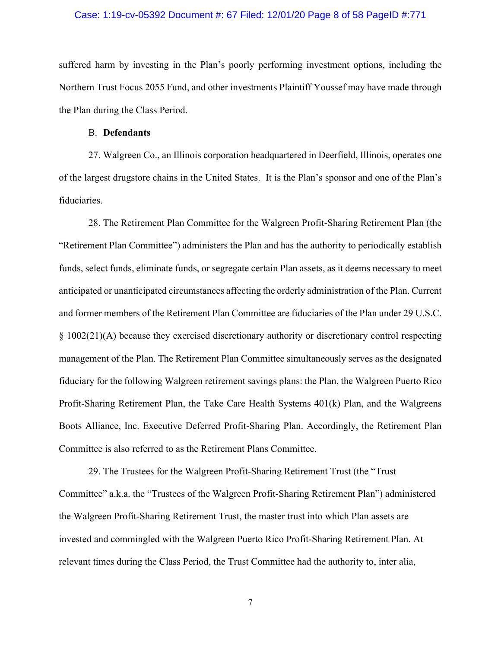## Case: 1:19-cv-05392 Document #: 67 Filed: 12/01/20 Page 8 of 58 PageID #:771

suffered harm by investing in the Plan's poorly performing investment options, including the Northern Trust Focus 2055 Fund, and other investments Plaintiff Youssef may have made through the Plan during the Class Period.

### B. **Defendants**

27. Walgreen Co., an Illinois corporation headquartered in Deerfield, Illinois, operates one of the largest drugstore chains in the United States. It is the Plan's sponsor and one of the Plan's fiduciaries.

28. The Retirement Plan Committee for the Walgreen Profit-Sharing Retirement Plan (the "Retirement Plan Committee") administers the Plan and has the authority to periodically establish funds, select funds, eliminate funds, or segregate certain Plan assets, as it deems necessary to meet anticipated or unanticipated circumstances affecting the orderly administration of the Plan. Current and former members of the Retirement Plan Committee are fiduciaries of the Plan under 29 U.S.C. § 1002(21)(A) because they exercised discretionary authority or discretionary control respecting management of the Plan. The Retirement Plan Committee simultaneously serves as the designated fiduciary for the following Walgreen retirement savings plans: the Plan, the Walgreen Puerto Rico Profit-Sharing Retirement Plan, the Take Care Health Systems 401(k) Plan, and the Walgreens Boots Alliance, Inc. Executive Deferred Profit-Sharing Plan. Accordingly, the Retirement Plan Committee is also referred to as the Retirement Plans Committee.

29. The Trustees for the Walgreen Profit-Sharing Retirement Trust (the "Trust Committee" a.k.a. the "Trustees of the Walgreen Profit-Sharing Retirement Plan") administered the Walgreen Profit-Sharing Retirement Trust, the master trust into which Plan assets are invested and commingled with the Walgreen Puerto Rico Profit-Sharing Retirement Plan. At relevant times during the Class Period, the Trust Committee had the authority to, inter alia,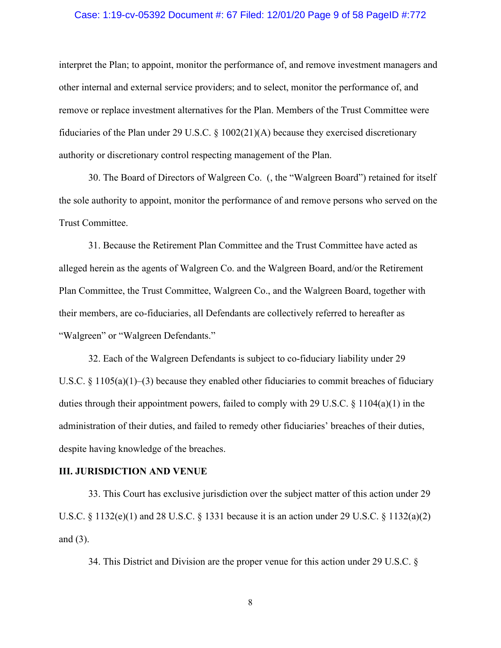### Case: 1:19-cv-05392 Document #: 67 Filed: 12/01/20 Page 9 of 58 PageID #:772

interpret the Plan; to appoint, monitor the performance of, and remove investment managers and other internal and external service providers; and to select, monitor the performance of, and remove or replace investment alternatives for the Plan. Members of the Trust Committee were fiduciaries of the Plan under 29 U.S.C. § 1002(21)(A) because they exercised discretionary authority or discretionary control respecting management of the Plan.

30. The Board of Directors of Walgreen Co. (, the "Walgreen Board") retained for itself the sole authority to appoint, monitor the performance of and remove persons who served on the Trust Committee.

31. Because the Retirement Plan Committee and the Trust Committee have acted as alleged herein as the agents of Walgreen Co. and the Walgreen Board, and/or the Retirement Plan Committee, the Trust Committee, Walgreen Co., and the Walgreen Board, together with their members, are co-fiduciaries, all Defendants are collectively referred to hereafter as "Walgreen" or "Walgreen Defendants."

32. Each of the Walgreen Defendants is subject to co-fiduciary liability under 29 U.S.C. § 1105(a)(1)–(3) because they enabled other fiduciaries to commit breaches of fiduciary duties through their appointment powers, failed to comply with 29 U.S.C. § 1104(a)(1) in the administration of their duties, and failed to remedy other fiduciaries' breaches of their duties, despite having knowledge of the breaches.

### **III. JURISDICTION AND VENUE**

33. This Court has exclusive jurisdiction over the subject matter of this action under 29 U.S.C. § 1132(e)(1) and 28 U.S.C. § 1331 because it is an action under 29 U.S.C. § 1132(a)(2) and (3).

34. This District and Division are the proper venue for this action under 29 U.S.C. §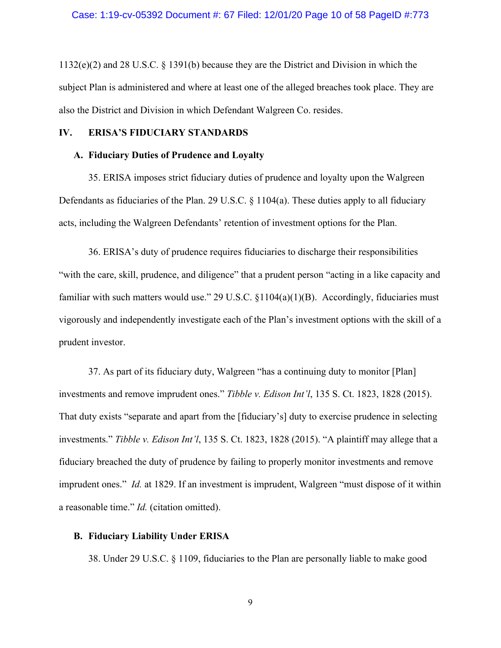1132(e)(2) and 28 U.S.C. § 1391(b) because they are the District and Division in which the subject Plan is administered and where at least one of the alleged breaches took place. They are also the District and Division in which Defendant Walgreen Co. resides.

### **IV. ERISA'S FIDUCIARY STANDARDS**

#### **A. Fiduciary Duties of Prudence and Loyalty**

35. ERISA imposes strict fiduciary duties of prudence and loyalty upon the Walgreen Defendants as fiduciaries of the Plan. 29 U.S.C.  $\S$  1104(a). These duties apply to all fiduciary acts, including the Walgreen Defendants' retention of investment options for the Plan.

36. ERISA's duty of prudence requires fiduciaries to discharge their responsibilities "with the care, skill, prudence, and diligence" that a prudent person "acting in a like capacity and familiar with such matters would use." 29 U.S.C. §1104(a)(1)(B). Accordingly, fiduciaries must vigorously and independently investigate each of the Plan's investment options with the skill of a prudent investor.

37. As part of its fiduciary duty, Walgreen "has a continuing duty to monitor [Plan] investments and remove imprudent ones." *Tibble v. Edison Int'l*, 135 S. Ct. 1823, 1828 (2015). That duty exists "separate and apart from the [fiduciary's] duty to exercise prudence in selecting investments." *Tibble v. Edison Int'l*, 135 S. Ct. 1823, 1828 (2015). "A plaintiff may allege that a fiduciary breached the duty of prudence by failing to properly monitor investments and remove imprudent ones." *Id.* at 1829. If an investment is imprudent, Walgreen "must dispose of it within a reasonable time." *Id.* (citation omitted).

### **B. Fiduciary Liability Under ERISA**

38. Under 29 U.S.C. § 1109, fiduciaries to the Plan are personally liable to make good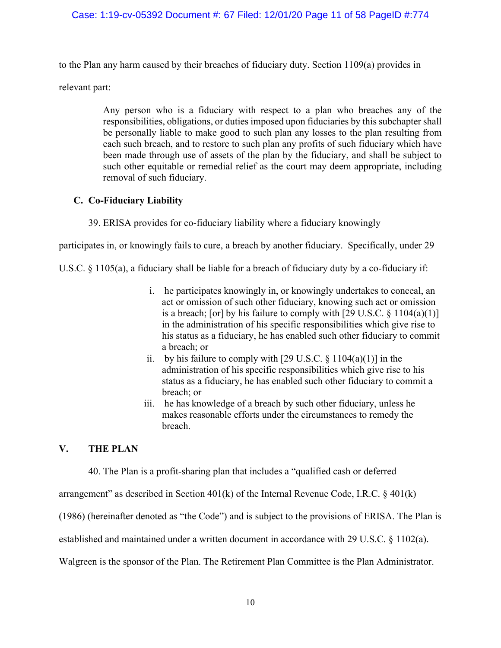## Case: 1:19-cv-05392 Document #: 67 Filed: 12/01/20 Page 11 of 58 PageID #:774

to the Plan any harm caused by their breaches of fiduciary duty. Section 1109(a) provides in

relevant part:

Any person who is a fiduciary with respect to a plan who breaches any of the responsibilities, obligations, or duties imposed upon fiduciaries by this subchapter shall be personally liable to make good to such plan any losses to the plan resulting from each such breach, and to restore to such plan any profits of such fiduciary which have been made through use of assets of the plan by the fiduciary, and shall be subject to such other equitable or remedial relief as the court may deem appropriate, including removal of such fiduciary.

## **C. Co-Fiduciary Liability**

39. ERISA provides for co-fiduciary liability where a fiduciary knowingly

participates in, or knowingly fails to cure, a breach by another fiduciary. Specifically, under 29

U.S.C. § 1105(a), a fiduciary shall be liable for a breach of fiduciary duty by a co-fiduciary if:

- i. he participates knowingly in, or knowingly undertakes to conceal, an act or omission of such other fiduciary, knowing such act or omission is a breach; [or] by his failure to comply with  $[29 \text{ U.S.C.} \& 1104(a)(1)]$ in the administration of his specific responsibilities which give rise to his status as a fiduciary, he has enabled such other fiduciary to commit a breach; or
- ii. by his failure to comply with [29 U.S.C.  $\S 1104(a)(1)$ ] in the administration of his specific responsibilities which give rise to his status as a fiduciary, he has enabled such other fiduciary to commit a breach; or
- iii. he has knowledge of a breach by such other fiduciary, unless he makes reasonable efforts under the circumstances to remedy the breach.

## **V. THE PLAN**

40. The Plan is a profit-sharing plan that includes a "qualified cash or deferred

arrangement" as described in Section  $401(k)$  of the Internal Revenue Code, I.R.C. §  $401(k)$ 

(1986) (hereinafter denoted as "the Code") and is subject to the provisions of ERISA. The Plan is

established and maintained under a written document in accordance with 29 U.S.C. § 1102(a).

Walgreen is the sponsor of the Plan. The Retirement Plan Committee is the Plan Administrator.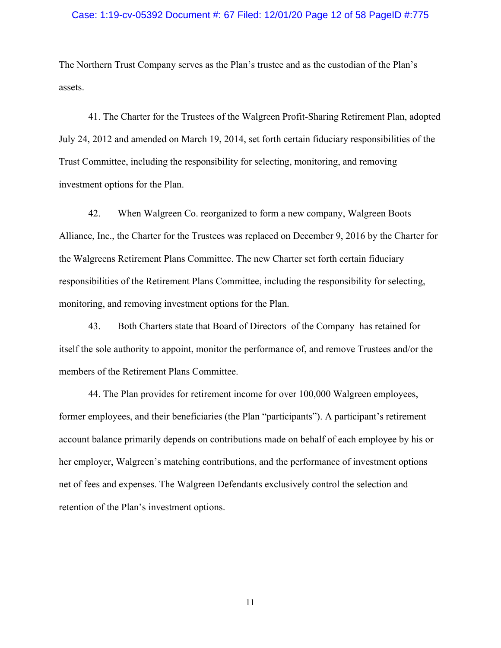### Case: 1:19-cv-05392 Document #: 67 Filed: 12/01/20 Page 12 of 58 PageID #:775

The Northern Trust Company serves as the Plan's trustee and as the custodian of the Plan's assets.

41. The Charter for the Trustees of the Walgreen Profit-Sharing Retirement Plan, adopted July 24, 2012 and amended on March 19, 2014, set forth certain fiduciary responsibilities of the Trust Committee, including the responsibility for selecting, monitoring, and removing investment options for the Plan.

42. When Walgreen Co. reorganized to form a new company, Walgreen Boots Alliance, Inc., the Charter for the Trustees was replaced on December 9, 2016 by the Charter for the Walgreens Retirement Plans Committee. The new Charter set forth certain fiduciary responsibilities of the Retirement Plans Committee, including the responsibility for selecting, monitoring, and removing investment options for the Plan.

43. Both Charters state that Board of Directors of the Company has retained for itself the sole authority to appoint, monitor the performance of, and remove Trustees and/or the members of the Retirement Plans Committee.

44. The Plan provides for retirement income for over 100,000 Walgreen employees, former employees, and their beneficiaries (the Plan "participants"). A participant's retirement account balance primarily depends on contributions made on behalf of each employee by his or her employer, Walgreen's matching contributions, and the performance of investment options net of fees and expenses. The Walgreen Defendants exclusively control the selection and retention of the Plan's investment options.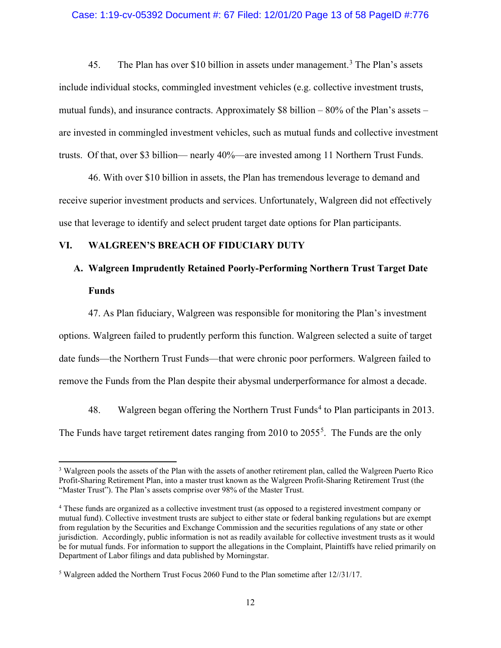### Case: 1:19-cv-05392 Document #: 67 Filed: 12/01/20 Page 13 of 58 PageID #:776

45. The Plan has over \$10 billion in assets under management.<sup>[3](#page-12-0)</sup> The Plan's assets include individual stocks, commingled investment vehicles (e.g. collective investment trusts, mutual funds), and insurance contracts. Approximately \$8 billion  $-80\%$  of the Plan's assets – are invested in commingled investment vehicles, such as mutual funds and collective investment trusts. Of that, over \$3 billion— nearly 40%—are invested among 11 Northern Trust Funds.

46. With over \$10 billion in assets, the Plan has tremendous leverage to demand and receive superior investment products and services. Unfortunately, Walgreen did not effectively use that leverage to identify and select prudent target date options for Plan participants.

## **VI. WALGREEN'S BREACH OF FIDUCIARY DUTY**

## **A. Walgreen Imprudently Retained Poorly-Performing Northern Trust Target Date Funds**

47. As Plan fiduciary, Walgreen was responsible for monitoring the Plan's investment options. Walgreen failed to prudently perform this function. Walgreen selected a suite of target date funds—the Northern Trust Funds—that were chronic poor performers. Walgreen failed to remove the Funds from the Plan despite their abysmal underperformance for almost a decade.

[4](#page-12-1)8. Walgreen began offering the Northern Trust Funds<sup>4</sup> to Plan participants in 2013. The Funds have target retirement dates ranging from 2010 to  $2055<sup>5</sup>$  $2055<sup>5</sup>$  $2055<sup>5</sup>$ . The Funds are the only

<span id="page-12-0"></span><sup>3</sup> Walgreen pools the assets of the Plan with the assets of another retirement plan, called the Walgreen Puerto Rico Profit-Sharing Retirement Plan, into a master trust known as the Walgreen Profit-Sharing Retirement Trust (the "Master Trust"). The Plan's assets comprise over 98% of the Master Trust.

<span id="page-12-1"></span><sup>&</sup>lt;sup>4</sup> These funds are organized as a collective investment trust (as opposed to a registered investment company or mutual fund). Collective investment trusts are subject to either state or federal banking regulations but are exempt from regulation by the Securities and Exchange Commission and the securities regulations of any state or other jurisdiction. Accordingly, public information is not as readily available for collective investment trusts as it would be for mutual funds. For information to support the allegations in the Complaint, Plaintiffs have relied primarily on Department of Labor filings and data published by Morningstar.

<span id="page-12-2"></span><sup>5</sup> Walgreen added the Northern Trust Focus 2060 Fund to the Plan sometime after 12//31/17.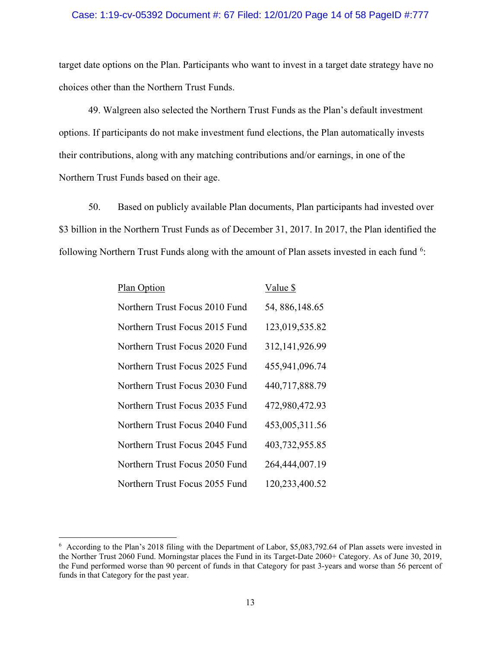## Case: 1:19-cv-05392 Document #: 67 Filed: 12/01/20 Page 14 of 58 PageID #:777

target date options on the Plan. Participants who want to invest in a target date strategy have no choices other than the Northern Trust Funds.

49. Walgreen also selected the Northern Trust Funds as the Plan's default investment options. If participants do not make investment fund elections, the Plan automatically invests their contributions, along with any matching contributions and/or earnings, in one of the Northern Trust Funds based on their age.

50. Based on publicly available Plan documents, Plan participants had invested over \$3 billion in the Northern Trust Funds as of December 31, 2017. In 2017, the Plan identified the following Northern Trust Funds along with the amount of Plan assets invested in each fund <sup>[6](#page-13-0)</sup>:

| Plan Option                    | Value \$        |
|--------------------------------|-----------------|
| Northern Trust Focus 2010 Fund | 54, 886, 148.65 |
| Northern Trust Focus 2015 Fund | 123,019,535.82  |
| Northern Trust Focus 2020 Fund | 312,141,926.99  |
| Northern Trust Focus 2025 Fund | 455,941,096.74  |
| Northern Trust Focus 2030 Fund | 440,717,888.79  |
| Northern Trust Focus 2035 Fund | 472,980,472.93  |
| Northern Trust Focus 2040 Fund | 453,005,311.56  |
| Northern Trust Focus 2045 Fund | 403,732,955.85  |
| Northern Trust Focus 2050 Fund | 264,444,007.19  |
| Northern Trust Focus 2055 Fund | 120,233,400.52  |

<span id="page-13-0"></span><sup>&</sup>lt;sup>6</sup> According to the Plan's 2018 filing with the Department of Labor, \$5,083,792.64 of Plan assets were invested in the Norther Trust 2060 Fund. Morningstar places the Fund in its Target-Date 2060+ Category. As of June 30, 2019, the Fund performed worse than 90 percent of funds in that Category for past 3-years and worse than 56 percent of funds in that Category for the past year.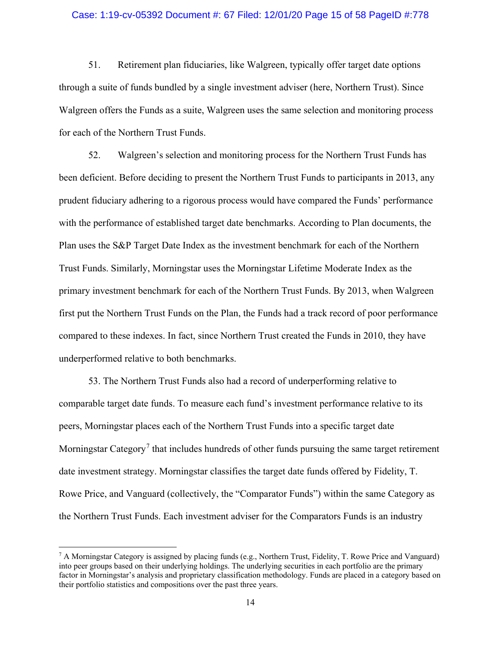## Case: 1:19-cv-05392 Document #: 67 Filed: 12/01/20 Page 15 of 58 PageID #:778

51. Retirement plan fiduciaries, like Walgreen, typically offer target date options through a suite of funds bundled by a single investment adviser (here, Northern Trust). Since Walgreen offers the Funds as a suite, Walgreen uses the same selection and monitoring process for each of the Northern Trust Funds.

52. Walgreen's selection and monitoring process for the Northern Trust Funds has been deficient. Before deciding to present the Northern Trust Funds to participants in 2013, any prudent fiduciary adhering to a rigorous process would have compared the Funds' performance with the performance of established target date benchmarks. According to Plan documents, the Plan uses the S&P Target Date Index as the investment benchmark for each of the Northern Trust Funds. Similarly, Morningstar uses the Morningstar Lifetime Moderate Index as the primary investment benchmark for each of the Northern Trust Funds. By 2013, when Walgreen first put the Northern Trust Funds on the Plan, the Funds had a track record of poor performance compared to these indexes. In fact, since Northern Trust created the Funds in 2010, they have underperformed relative to both benchmarks.

53. The Northern Trust Funds also had a record of underperforming relative to comparable target date funds. To measure each fund's investment performance relative to its peers, Morningstar places each of the Northern Trust Funds into a specific target date Morningstar Category<sup>[7](#page-14-0)</sup> that includes hundreds of other funds pursuing the same target retirement date investment strategy. Morningstar classifies the target date funds offered by Fidelity, T. Rowe Price, and Vanguard (collectively, the "Comparator Funds") within the same Category as the Northern Trust Funds. Each investment adviser for the Comparators Funds is an industry

<span id="page-14-0"></span><sup>&</sup>lt;sup>7</sup> A Morningstar Category is assigned by placing funds (e.g., Northern Trust, Fidelity, T. Rowe Price and Vanguard) into peer groups based on their underlying holdings. The underlying securities in each portfolio are the primary factor in Morningstar's analysis and proprietary classification methodology. Funds are placed in a category based on their portfolio statistics and compositions over the past three years.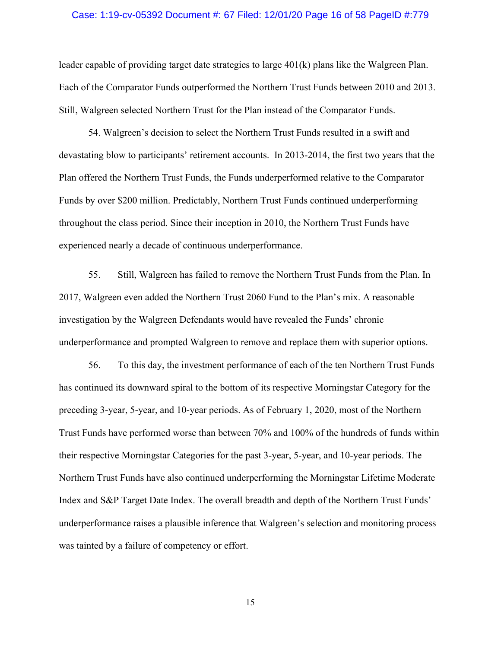### Case: 1:19-cv-05392 Document #: 67 Filed: 12/01/20 Page 16 of 58 PageID #:779

leader capable of providing target date strategies to large 401(k) plans like the Walgreen Plan. Each of the Comparator Funds outperformed the Northern Trust Funds between 2010 and 2013. Still, Walgreen selected Northern Trust for the Plan instead of the Comparator Funds.

54. Walgreen's decision to select the Northern Trust Funds resulted in a swift and devastating blow to participants' retirement accounts. In 2013-2014, the first two years that the Plan offered the Northern Trust Funds, the Funds underperformed relative to the Comparator Funds by over \$200 million. Predictably, Northern Trust Funds continued underperforming throughout the class period. Since their inception in 2010, the Northern Trust Funds have experienced nearly a decade of continuous underperformance.

55. Still, Walgreen has failed to remove the Northern Trust Funds from the Plan. In 2017, Walgreen even added the Northern Trust 2060 Fund to the Plan's mix. A reasonable investigation by the Walgreen Defendants would have revealed the Funds' chronic underperformance and prompted Walgreen to remove and replace them with superior options.

56. To this day, the investment performance of each of the ten Northern Trust Funds has continued its downward spiral to the bottom of its respective Morningstar Category for the preceding 3-year, 5-year, and 10-year periods. As of February 1, 2020, most of the Northern Trust Funds have performed worse than between 70% and 100% of the hundreds of funds within their respective Morningstar Categories for the past 3-year, 5-year, and 10-year periods. The Northern Trust Funds have also continued underperforming the Morningstar Lifetime Moderate Index and S&P Target Date Index. The overall breadth and depth of the Northern Trust Funds' underperformance raises a plausible inference that Walgreen's selection and monitoring process was tainted by a failure of competency or effort.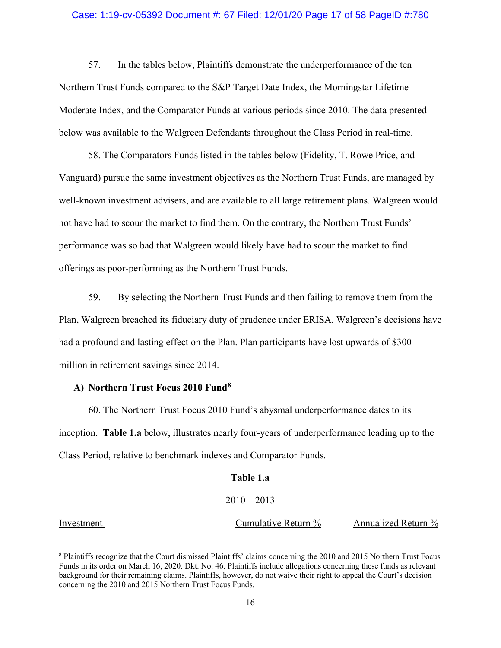### Case: 1:19-cv-05392 Document #: 67 Filed: 12/01/20 Page 17 of 58 PageID #:780

57. In the tables below, Plaintiffs demonstrate the underperformance of the ten Northern Trust Funds compared to the S&P Target Date Index, the Morningstar Lifetime Moderate Index, and the Comparator Funds at various periods since 2010. The data presented below was available to the Walgreen Defendants throughout the Class Period in real-time.

58. The Comparators Funds listed in the tables below (Fidelity, T. Rowe Price, and Vanguard) pursue the same investment objectives as the Northern Trust Funds, are managed by well-known investment advisers, and are available to all large retirement plans. Walgreen would not have had to scour the market to find them. On the contrary, the Northern Trust Funds' performance was so bad that Walgreen would likely have had to scour the market to find offerings as poor-performing as the Northern Trust Funds.

59. By selecting the Northern Trust Funds and then failing to remove them from the Plan, Walgreen breached its fiduciary duty of prudence under ERISA. Walgreen's decisions have had a profound and lasting effect on the Plan. Plan participants have lost upwards of \$300 million in retirement savings since 2014.

## **A) Northern Trust Focus 2010 Fund[8](#page-16-0)**

60. The Northern Trust Focus 2010 Fund's abysmal underperformance dates to its inception. **Table 1.a** below, illustrates nearly four-years of underperformance leading up to the Class Period, relative to benchmark indexes and Comparator Funds.

### **Table 1.a**

### $2010 - 2013$

Investment Cumulative Return % Annualized Return %

<span id="page-16-0"></span><sup>8</sup> Plaintiffs recognize that the Court dismissed Plaintiffs' claims concerning the 2010 and 2015 Northern Trust Focus Funds in its order on March 16, 2020. Dkt. No. 46. Plaintiffs include allegations concerning these funds as relevant background for their remaining claims. Plaintiffs, however, do not waive their right to appeal the Court's decision concerning the 2010 and 2015 Northern Trust Focus Funds.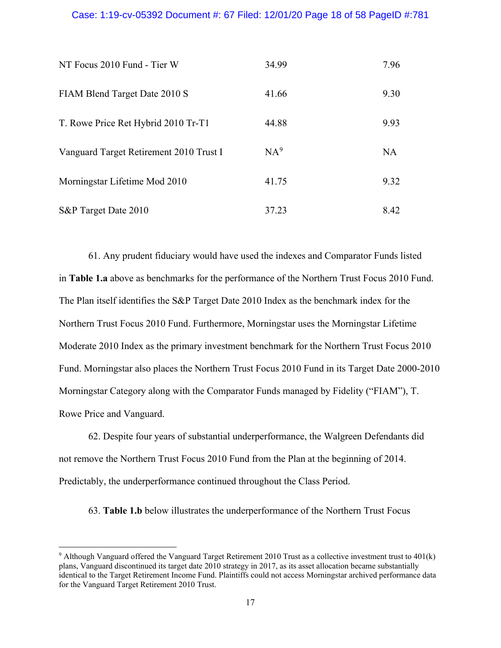## Case: 1:19-cv-05392 Document #: 67 Filed: 12/01/20 Page 18 of 58 PageID #:781

| NT Focus 2010 Fund - Tier W             | 34.99           | 7.96      |
|-----------------------------------------|-----------------|-----------|
| FIAM Blend Target Date 2010 S           | 41.66           | 9.30      |
| T. Rowe Price Ret Hybrid 2010 Tr-T1     | 44.88           | 9.93      |
| Vanguard Target Retirement 2010 Trust I | NA <sup>9</sup> | <b>NA</b> |
| Morningstar Lifetime Mod 2010           | 41.75           | 9.32      |
| S&P Target Date 2010                    | 37.23           | 8.42      |

61. Any prudent fiduciary would have used the indexes and Comparator Funds listed in **Table 1.a** above as benchmarks for the performance of the Northern Trust Focus 2010 Fund. The Plan itself identifies the S&P Target Date 2010 Index as the benchmark index for the Northern Trust Focus 2010 Fund. Furthermore, Morningstar uses the Morningstar Lifetime Moderate 2010 Index as the primary investment benchmark for the Northern Trust Focus 2010 Fund. Morningstar also places the Northern Trust Focus 2010 Fund in its Target Date 2000-2010 Morningstar Category along with the Comparator Funds managed by Fidelity ("FIAM"), T. Rowe Price and Vanguard.

62. Despite four years of substantial underperformance, the Walgreen Defendants did not remove the Northern Trust Focus 2010 Fund from the Plan at the beginning of 2014. Predictably, the underperformance continued throughout the Class Period.

63. **Table 1.b** below illustrates the underperformance of the Northern Trust Focus

<span id="page-17-0"></span><sup>9</sup> Although Vanguard offered the Vanguard Target Retirement 2010 Trust as a collective investment trust to 401(k) plans, Vanguard discontinued its target date 2010 strategy in 2017, as its asset allocation became substantially identical to the Target Retirement Income Fund. Plaintiffs could not access Morningstar archived performance data for the Vanguard Target Retirement 2010 Trust.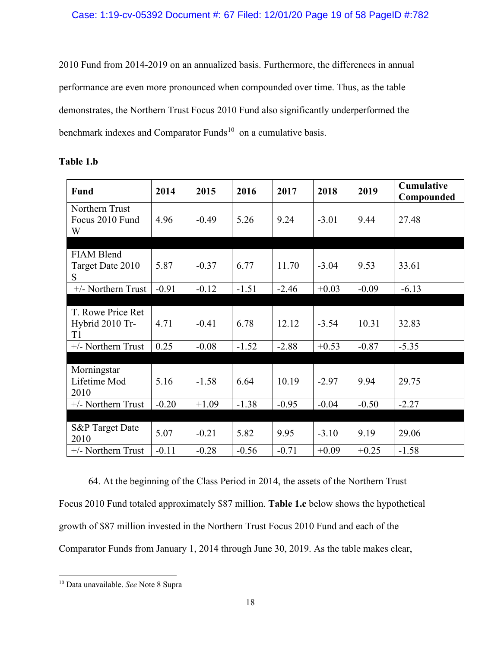2010 Fund from 2014-2019 on an annualized basis. Furthermore, the differences in annual performance are even more pronounced when compounded over time. Thus, as the table demonstrates, the Northern Trust Focus 2010 Fund also significantly underperformed the benchmark indexes and Comparator Funds<sup>[10](#page-18-0)</sup> on a cumulative basis.

| Fund                                       | 2014    | 2015    | 2016    | 2017    | 2018    | 2019    | Cumulative<br>Compounded |
|--------------------------------------------|---------|---------|---------|---------|---------|---------|--------------------------|
| Northern Trust<br>Focus 2010 Fund<br>W     | 4.96    | $-0.49$ | 5.26    | 9.24    | $-3.01$ | 9.44    | 27.48                    |
|                                            |         |         |         |         |         |         |                          |
| <b>FIAM Blend</b><br>Target Date 2010<br>S | 5.87    | $-0.37$ | 6.77    | 11.70   | $-3.04$ | 9.53    | 33.61                    |
| +/- Northern Trust                         | $-0.91$ | $-0.12$ | $-1.51$ | $-2.46$ | $+0.03$ | $-0.09$ | $-6.13$                  |
|                                            |         |         |         |         |         |         |                          |
| T. Rowe Price Ret<br>Hybrid 2010 Tr-<br>T1 | 4.71    | $-0.41$ | 6.78    | 12.12   | $-3.54$ | 10.31   | 32.83                    |
| +/- Northern Trust                         | 0.25    | $-0.08$ | $-1.52$ | $-2.88$ | $+0.53$ | $-0.87$ | $-5.35$                  |
|                                            |         |         |         |         |         |         |                          |
| Morningstar<br>Lifetime Mod<br>2010        | 5.16    | $-1.58$ | 6.64    | 10.19   | $-2.97$ | 9.94    | 29.75                    |
| +/- Northern Trust                         | $-0.20$ | $+1.09$ | $-1.38$ | $-0.95$ | $-0.04$ | $-0.50$ | $-2.27$                  |
|                                            |         |         |         |         |         |         |                          |
| S&P Target Date<br>2010                    | 5.07    | $-0.21$ | 5.82    | 9.95    | $-3.10$ | 9.19    | 29.06                    |
| +/- Northern Trust                         | $-0.11$ | $-0.28$ | $-0.56$ | $-0.71$ | $+0.09$ | $+0.25$ | $-1.58$                  |

## **Table 1.b**

64. At the beginning of the Class Period in 2014, the assets of the Northern Trust Focus 2010 Fund totaled approximately \$87 million. **Table 1.c** below shows the hypothetical growth of \$87 million invested in the Northern Trust Focus 2010 Fund and each of the Comparator Funds from January 1, 2014 through June 30, 2019. As the table makes clear,

<span id="page-18-0"></span><sup>10</sup> Data unavailable. *See* Note 8 Supra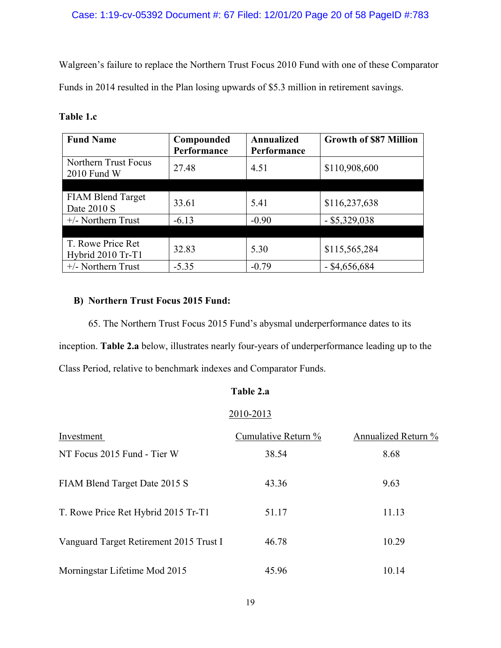## Case: 1:19-cv-05392 Document #: 67 Filed: 12/01/20 Page 20 of 58 PageID #:783

Walgreen's failure to replace the Northern Trust Focus 2010 Fund with one of these Comparator Funds in 2014 resulted in the Plan losing upwards of \$5.3 million in retirement savings.

| <b>Fund Name</b>                        | Compounded  | Annualized  | <b>Growth of \$87 Million</b> |
|-----------------------------------------|-------------|-------------|-------------------------------|
|                                         | Performance | Performance |                               |
| Northern Trust Focus<br>2010 Fund W     | 27.48       | 4.51        | \$110,908,600                 |
|                                         |             |             |                               |
| <b>FIAM Blend Target</b><br>Date 2010 S | 33.61       | 5.41        | \$116,237,638                 |
| $+/-$ Northern Trust                    | $-6.13$     | $-0.90$     | $-$ \$5,329,038               |
|                                         |             |             |                               |
| T. Rowe Price Ret<br>Hybrid 2010 Tr-T1  | 32.83       | 5.30        | \$115,565,284                 |
| $+/-$ Northern Trust                    | $-5.35$     | $-0.79$     | $-$ \$4,656,684               |

## **Table 1.c**

## **B) Northern Trust Focus 2015 Fund:**

65. The Northern Trust Focus 2015 Fund's abysmal underperformance dates to its inception. **Table 2.a** below, illustrates nearly four-years of underperformance leading up to the Class Period, relative to benchmark indexes and Comparator Funds.

## **Table 2.a**

## 2010-2013

| Investment                              | Cumulative Return % | Annualized Return % |
|-----------------------------------------|---------------------|---------------------|
| NT Focus 2015 Fund - Tier W             | 38.54               | 8.68                |
| FIAM Blend Target Date 2015 S           | 43.36               | 9.63                |
| T. Rowe Price Ret Hybrid 2015 Tr-T1     | 51.17               | 11.13               |
| Vanguard Target Retirement 2015 Trust I | 46.78               | 10.29               |
| Morningstar Lifetime Mod 2015           | 45.96               | 10.14               |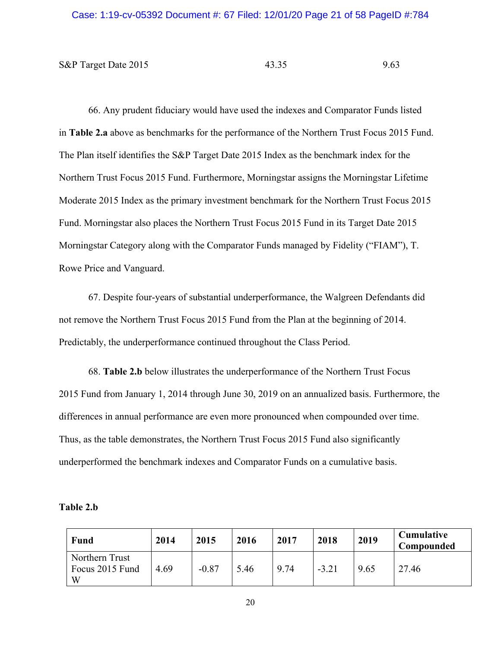S&P Target Date 2015 43.35 9.63

66. Any prudent fiduciary would have used the indexes and Comparator Funds listed in **Table 2.a** above as benchmarks for the performance of the Northern Trust Focus 2015 Fund. The Plan itself identifies the S&P Target Date 2015 Index as the benchmark index for the Northern Trust Focus 2015 Fund. Furthermore, Morningstar assigns the Morningstar Lifetime Moderate 2015 Index as the primary investment benchmark for the Northern Trust Focus 2015 Fund. Morningstar also places the Northern Trust Focus 2015 Fund in its Target Date 2015 Morningstar Category along with the Comparator Funds managed by Fidelity ("FIAM"), T. Rowe Price and Vanguard.

67. Despite four-years of substantial underperformance, the Walgreen Defendants did not remove the Northern Trust Focus 2015 Fund from the Plan at the beginning of 2014. Predictably, the underperformance continued throughout the Class Period.

68. **Table 2.b** below illustrates the underperformance of the Northern Trust Focus 2015 Fund from January 1, 2014 through June 30, 2019 on an annualized basis. Furthermore, the differences in annual performance are even more pronounced when compounded over time. Thus, as the table demonstrates, the Northern Trust Focus 2015 Fund also significantly underperformed the benchmark indexes and Comparator Funds on a cumulative basis.

| <b>Fund</b>                            | 2014 | 2015    | 2016 | 2017 | 2018    | 2019 | <b>Cumulative</b><br>Compounded |
|----------------------------------------|------|---------|------|------|---------|------|---------------------------------|
| Northern Trust<br>Focus 2015 Fund<br>W | 4.69 | $-0.87$ | 5.46 | 9.74 | $-3.21$ | 9.65 | 27.46                           |

### **Table 2.b**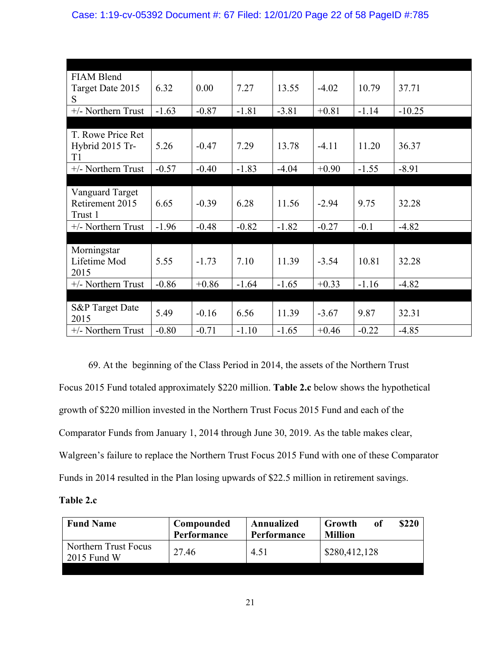| <b>FIAM Blend</b>  |         |         |         |         |         |         |          |
|--------------------|---------|---------|---------|---------|---------|---------|----------|
| Target Date 2015   | 6.32    | 0.00    | 7.27    | 13.55   | $-4.02$ | 10.79   | 37.71    |
| S                  |         |         |         |         |         |         |          |
| +/- Northern Trust | $-1.63$ | $-0.87$ | $-1.81$ | $-3.81$ | $+0.81$ | $-1.14$ | $-10.25$ |
|                    |         |         |         |         |         |         |          |
| T. Rowe Price Ret  |         |         |         |         |         |         |          |
| Hybrid 2015 Tr-    | 5.26    | $-0.47$ | 7.29    | 13.78   | $-4.11$ | 11.20   | 36.37    |
| T1                 |         |         |         |         |         |         |          |
| +/- Northern Trust | $-0.57$ | $-0.40$ | $-1.83$ | $-4.04$ | $+0.90$ | $-1.55$ | $-8.91$  |
|                    |         |         |         |         |         |         |          |
| Vanguard Target    |         |         |         |         |         |         |          |
| Retirement 2015    | 6.65    | $-0.39$ | 6.28    | 11.56   | $-2.94$ | 9.75    | 32.28    |
| Trust 1            |         |         |         |         |         |         |          |
| +/- Northern Trust | $-1.96$ | $-0.48$ | $-0.82$ | $-1.82$ | $-0.27$ | $-0.1$  | $-4.82$  |
|                    |         |         |         |         |         |         |          |
| Morningstar        |         |         |         |         |         |         |          |
| Lifetime Mod       | 5.55    | $-1.73$ | 7.10    | 11.39   | $-3.54$ | 10.81   | 32.28    |
| 2015               |         |         |         |         |         |         |          |
| +/- Northern Trust | $-0.86$ | $+0.86$ | $-1.64$ | $-1.65$ | $+0.33$ | $-1.16$ | $-4.82$  |
|                    |         |         |         |         |         |         |          |
| S&P Target Date    | 5.49    | $-0.16$ | 6.56    | 11.39   | $-3.67$ | 9.87    | 32.31    |
| 2015               |         |         |         |         |         |         |          |
| +/- Northern Trust | $-0.80$ | $-0.71$ | $-1.10$ | $-1.65$ | $+0.46$ | $-0.22$ | $-4.85$  |

69. At the beginning of the Class Period in 2014, the assets of the Northern Trust Focus 2015 Fund totaled approximately \$220 million. **Table 2.c** below shows the hypothetical growth of \$220 million invested in the Northern Trust Focus 2015 Fund and each of the Comparator Funds from January 1, 2014 through June 30, 2019. As the table makes clear, Walgreen's failure to replace the Northern Trust Focus 2015 Fund with one of these Comparator Funds in 2014 resulted in the Plan losing upwards of \$22.5 million in retirement savings.

## **Table 2.c**

| <b>Fund Name</b>                      | Compounded<br>Performance | Annualized<br>Performance | \$220<br>Growth<br>of<br><b>Million</b> |
|---------------------------------------|---------------------------|---------------------------|-----------------------------------------|
| Northern Trust Focus<br>$2015$ Fund W | 27.46                     | 4.51                      | \$280,412,128                           |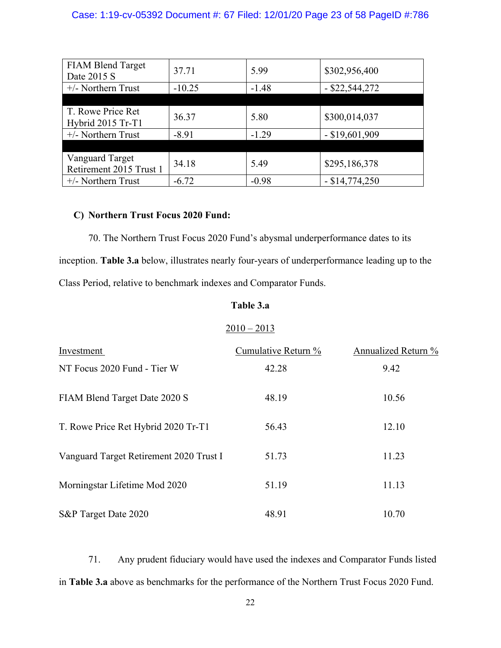## Case: 1:19-cv-05392 Document #: 67 Filed: 12/01/20 Page 23 of 58 PageID #:786

| <b>FIAM Blend Target</b><br>Date 2015 S    | 37.71    | 5.99    | \$302,956,400    |
|--------------------------------------------|----------|---------|------------------|
| $+/-$ Northern Trust                       | $-10.25$ | $-1.48$ | $-$ \$22,544,272 |
|                                            |          |         |                  |
|                                            |          |         |                  |
| T. Rowe Price Ret<br>Hybrid 2015 Tr-T1     | 36.37    | 5.80    | \$300,014,037    |
| $+/-$ Northern Trust                       | $-8.91$  | $-1.29$ | $-$ \$19,601,909 |
|                                            |          |         |                  |
| Vanguard Target<br>Retirement 2015 Trust 1 | 34.18    | 5.49    | \$295,186,378    |
| $+/-$ Northern Trust                       | $-6.72$  | $-0.98$ | $-$ \$14,774,250 |

## **C) Northern Trust Focus 2020 Fund:**

70. The Northern Trust Focus 2020 Fund's abysmal underperformance dates to its inception. **Table 3.a** below, illustrates nearly four-years of underperformance leading up to the Class Period, relative to benchmark indexes and Comparator Funds.

## **Table 3.a**

## $2010 - 2013$

| Investment                              | Cumulative Return % | Annualized Return % |
|-----------------------------------------|---------------------|---------------------|
| NT Focus 2020 Fund - Tier W             | 42.28               | 9.42                |
| FIAM Blend Target Date 2020 S           | 48.19               | 10.56               |
| T. Rowe Price Ret Hybrid 2020 Tr-T1     | 56.43               | 12.10               |
| Vanguard Target Retirement 2020 Trust I | 51.73               | 11.23               |
| Morningstar Lifetime Mod 2020           | 51.19               | 11.13               |
| S&P Target Date 2020                    | 48.91               | 10.70               |

71. Any prudent fiduciary would have used the indexes and Comparator Funds listed in **Table 3.a** above as benchmarks for the performance of the Northern Trust Focus 2020 Fund.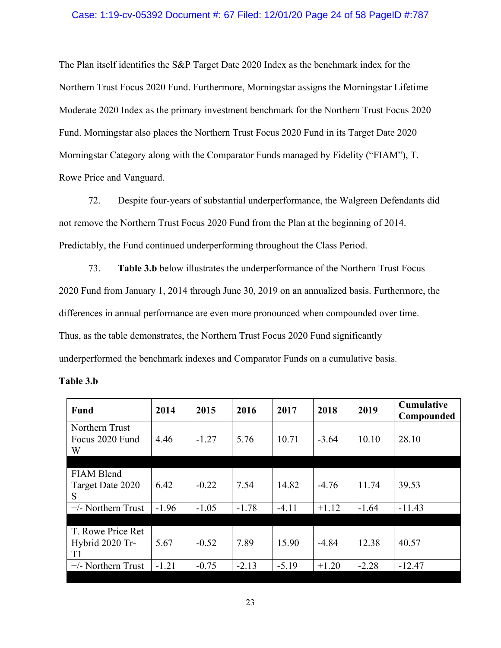## Case: 1:19-cv-05392 Document #: 67 Filed: 12/01/20 Page 24 of 58 PageID #:787

The Plan itself identifies the S&P Target Date 2020 Index as the benchmark index for the Northern Trust Focus 2020 Fund. Furthermore, Morningstar assigns the Morningstar Lifetime Moderate 2020 Index as the primary investment benchmark for the Northern Trust Focus 2020 Fund. Morningstar also places the Northern Trust Focus 2020 Fund in its Target Date 2020 Morningstar Category along with the Comparator Funds managed by Fidelity ("FIAM"), T. Rowe Price and Vanguard.

72. Despite four-years of substantial underperformance, the Walgreen Defendants did not remove the Northern Trust Focus 2020 Fund from the Plan at the beginning of 2014. Predictably, the Fund continued underperforming throughout the Class Period.

73. **Table 3.b** below illustrates the underperformance of the Northern Trust Focus 2020 Fund from January 1, 2014 through June 30, 2019 on an annualized basis. Furthermore, the differences in annual performance are even more pronounced when compounded over time. Thus, as the table demonstrates, the Northern Trust Focus 2020 Fund significantly underperformed the benchmark indexes and Comparator Funds on a cumulative basis.

| Fund                                       | 2014    | 2015    | 2016    | 2017    | 2018    | 2019    | <b>Cumulative</b><br>Compounded |
|--------------------------------------------|---------|---------|---------|---------|---------|---------|---------------------------------|
| Northern Trust<br>Focus 2020 Fund<br>W     | 4.46    | $-1.27$ | 5.76    | 10.71   | $-3.64$ | 10.10   | 28.10                           |
|                                            |         |         |         |         |         |         |                                 |
| <b>FIAM Blend</b><br>Target Date 2020<br>S | 6.42    | $-0.22$ | 7.54    | 14.82   | $-4.76$ | 11.74   | 39.53                           |
| $+/-$ Northern Trust                       | $-1.96$ | $-1.05$ | $-1.78$ | $-4.11$ | $+1.12$ | $-1.64$ | $-11.43$                        |
|                                            |         |         |         |         |         |         |                                 |
| T. Rowe Price Ret<br>Hybrid 2020 Tr-<br>T1 | 5.67    | $-0.52$ | 7.89    | 15.90   | $-4.84$ | 12.38   | 40.57                           |
| $+/-$ Northern Trust                       | $-1.21$ | $-0.75$ | $-2.13$ | $-5.19$ | $+1.20$ | $-2.28$ | $-12.47$                        |
|                                            |         |         |         |         |         |         |                                 |

| Table 3.b |  |
|-----------|--|
|-----------|--|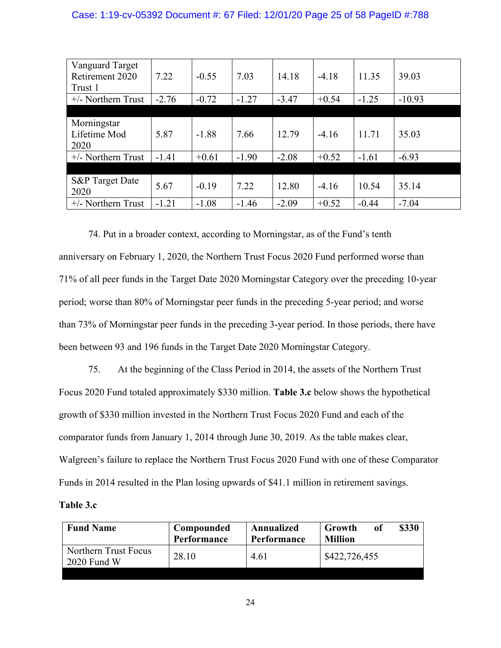## Case: 1:19-cv-05392 Document #: 67 Filed: 12/01/20 Page 25 of 58 PageID #:788

| Vanguard Target            |         |         |         |         |         |         |          |
|----------------------------|---------|---------|---------|---------|---------|---------|----------|
| Retirement 2020            | 7.22    | $-0.55$ | 7.03    | 14.18   | $-4.18$ | 11.35   | 39.03    |
| Trust 1                    |         |         |         |         |         |         |          |
| $+/-$ Northern Trust       | $-2.76$ | $-0.72$ | $-1.27$ | $-3.47$ | $+0.54$ | $-1.25$ | $-10.93$ |
|                            |         |         |         |         |         |         |          |
| Morningstar                |         |         |         |         |         |         |          |
| Lifetime Mod               | 5.87    | $-1.88$ | 7.66    | 12.79   | $-4.16$ | 11.71   | 35.03    |
| 2020                       |         |         |         |         |         |         |          |
| $+/-$ Northern Trust       | $-1.41$ | $+0.61$ | $-1.90$ | $-2.08$ | $+0.52$ | $-1.61$ | $-6.93$  |
|                            |         |         |         |         |         |         |          |
| <b>S&amp;P</b> Target Date | 5.67    | $-0.19$ | 7.22    | 12.80   |         | 10.54   | 35.14    |
| 2020                       |         |         |         |         | $-4.16$ |         |          |
| $+/-$ Northern Trust       | $-1.21$ | $-1.08$ | $-1.46$ | $-2.09$ | $+0.52$ | $-0.44$ | $-7.04$  |

74. Put in a broader context, according to Morningstar, as of the Fund's tenth anniversary on February 1, 2020, the Northern Trust Focus 2020 Fund performed worse than 71% of all peer funds in the Target Date 2020 Morningstar Category over the preceding 10-year period; worse than 80% of Morningstar peer funds in the preceding 5-year period; and worse than 73% of Morningstar peer funds in the preceding 3-year period. In those periods, there have been between 93 and 196 funds in the Target Date 2020 Morningstar Category.

75. At the beginning of the Class Period in 2014, the assets of the Northern Trust Focus 2020 Fund totaled approximately \$330 million. **Table 3.c** below shows the hypothetical growth of \$330 million invested in the Northern Trust Focus 2020 Fund and each of the comparator funds from January 1, 2014 through June 30, 2019. As the table makes clear, Walgreen's failure to replace the Northern Trust Focus 2020 Fund with one of these Comparator Funds in 2014 resulted in the Plan losing upwards of \$41.1 million in retirement savings.

## **Table 3.c**

| <b>Fund Name</b>                      | Compounded<br>Performance | Annualized<br><b>Performance</b> | \$330<br>Growth<br>оf<br><b>Million</b> |
|---------------------------------------|---------------------------|----------------------------------|-----------------------------------------|
| Northern Trust Focus<br>$2020$ Fund W | 28.10                     | 4.61                             | \$422,726,455                           |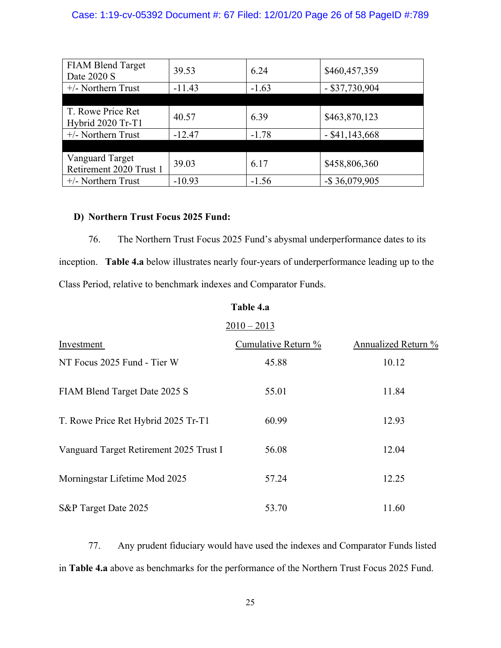## Case: 1:19-cv-05392 Document #: 67 Filed: 12/01/20 Page 26 of 58 PageID #:789

| <b>FIAM Blend Target</b><br>Date 2020 S           | 39.53    | 6.24    | \$460,457,359     |
|---------------------------------------------------|----------|---------|-------------------|
| $+/-$ Northern Trust                              | $-11.43$ | $-1.63$ | $-$ \$37,730,904  |
|                                                   |          |         |                   |
| T. Rowe Price Ret<br>Hybrid 2020 Tr-T1            | 40.57    | 6.39    | \$463,870,123     |
| $+/-$ Northern Trust                              | $-12.47$ | $-1.78$ | $-$ \$41,143,668  |
|                                                   |          |         |                   |
| <b>Vanguard Target</b><br>Retirement 2020 Trust 1 | 39.03    | 6.17    | \$458,806,360     |
| $+/-$ Northern Trust                              | $-10.93$ | $-1.56$ | $-$ \$ 36,079,905 |

## **D) Northern Trust Focus 2025 Fund:**

76. The Northern Trust Focus 2025 Fund's abysmal underperformance dates to its inception. **Table 4.a** below illustrates nearly four-years of underperformance leading up to the Class Period, relative to benchmark indexes and Comparator Funds.

## **Table 4.a**

|                                         | $2010 - 2013$       |                     |
|-----------------------------------------|---------------------|---------------------|
| Investment                              | Cumulative Return % | Annualized Return % |
| NT Focus 2025 Fund - Tier W             | 45.88               | 10.12               |
| FIAM Blend Target Date 2025 S           | 55.01               | 11.84               |
| T. Rowe Price Ret Hybrid 2025 Tr-T1     | 60.99               | 12.93               |
| Vanguard Target Retirement 2025 Trust I | 56.08               | 12.04               |
| Morningstar Lifetime Mod 2025           | 57.24               | 12.25               |
| S&P Target Date 2025                    | 53.70               | 11.60               |

77. Any prudent fiduciary would have used the indexes and Comparator Funds listed in **Table 4.a** above as benchmarks for the performance of the Northern Trust Focus 2025 Fund.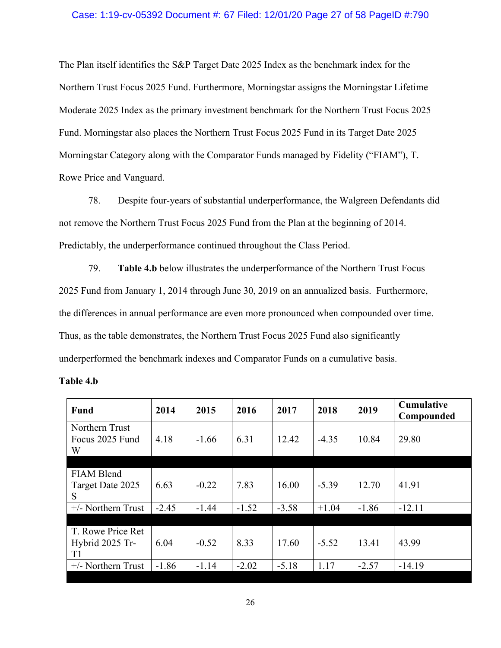## Case: 1:19-cv-05392 Document #: 67 Filed: 12/01/20 Page 27 of 58 PageID #:790

The Plan itself identifies the S&P Target Date 2025 Index as the benchmark index for the Northern Trust Focus 2025 Fund. Furthermore, Morningstar assigns the Morningstar Lifetime Moderate 2025 Index as the primary investment benchmark for the Northern Trust Focus 2025 Fund. Morningstar also places the Northern Trust Focus 2025 Fund in its Target Date 2025 Morningstar Category along with the Comparator Funds managed by Fidelity ("FIAM"), T. Rowe Price and Vanguard.

78. Despite four-years of substantial underperformance, the Walgreen Defendants did not remove the Northern Trust Focus 2025 Fund from the Plan at the beginning of 2014. Predictably, the underperformance continued throughout the Class Period.

79. **Table 4.b** below illustrates the underperformance of the Northern Trust Focus 2025 Fund from January 1, 2014 through June 30, 2019 on an annualized basis. Furthermore, the differences in annual performance are even more pronounced when compounded over time. Thus, as the table demonstrates, the Northern Trust Focus 2025 Fund also significantly underperformed the benchmark indexes and Comparator Funds on a cumulative basis.

| Fund                                   | 2014    | 2015    | 2016    | 2017    | 2018    | 2019    | Cumulative<br>Compounded |
|----------------------------------------|---------|---------|---------|---------|---------|---------|--------------------------|
| Northern Trust<br>Focus 2025 Fund<br>W | 4.18    | $-1.66$ | 6.31    | 12.42   | $-4.35$ | 10.84   | 29.80                    |
|                                        |         |         |         |         |         |         |                          |
| FIAM Blend                             |         |         |         |         |         |         |                          |
| Target Date 2025<br>S                  | 6.63    | $-0.22$ | 7.83    | 16.00   | $-5.39$ | 12.70   | 41.91                    |
| $+/-$ Northern Trust                   | $-2.45$ | $-1.44$ | $-1.52$ | $-3.58$ | $+1.04$ | $-1.86$ | $-12.11$                 |
|                                        |         |         |         |         |         |         |                          |
| T. Rowe Price Ret                      |         |         |         |         |         |         |                          |
| Hybrid 2025 Tr-                        | 6.04    | $-0.52$ | 8.33    | 17.60   | $-5.52$ | 13.41   | 43.99                    |
| T1                                     |         |         |         |         |         |         |                          |
| $+/-$ Northern Trust                   | $-1.86$ | $-1.14$ | $-2.02$ | $-5.18$ | 1.17    | $-2.57$ | $-14.19$                 |
|                                        |         |         |         |         |         |         |                          |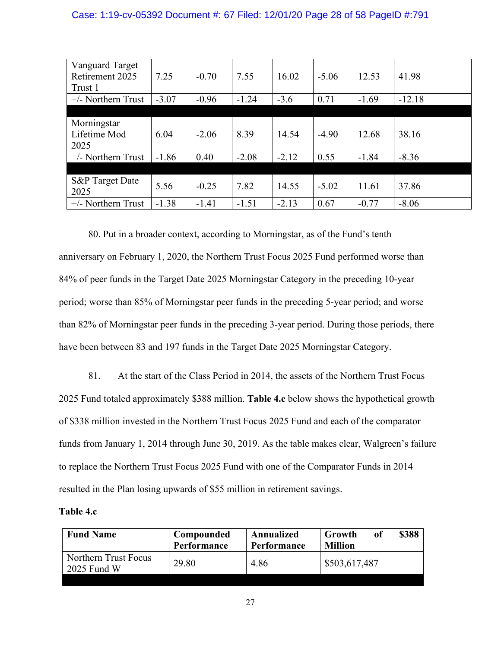## Case: 1:19-cv-05392 Document #: 67 Filed: 12/01/20 Page 28 of 58 PageID #:791

| Vanguard Target            |         |         |         |         |         |         |          |
|----------------------------|---------|---------|---------|---------|---------|---------|----------|
| Retirement 2025            | 7.25    | $-0.70$ | 7.55    | 16.02   | $-5.06$ | 12.53   | 41.98    |
| Trust 1                    |         |         |         |         |         |         |          |
| $+/-$ Northern Trust       | $-3.07$ | $-0.96$ | $-1.24$ | $-3.6$  | 0.71    | $-1.69$ | $-12.18$ |
|                            |         |         |         |         |         |         |          |
| Morningstar                |         |         |         |         |         |         |          |
| Lifetime Mod               | 6.04    | $-2.06$ | 8.39    | 14.54   | $-4.90$ | 12.68   | 38.16    |
| 2025                       |         |         |         |         |         |         |          |
| $+/-$ Northern Trust       | $-1.86$ | 0.40    | $-2.08$ | $-2.12$ | 0.55    | $-1.84$ | $-8.36$  |
|                            |         |         |         |         |         |         |          |
| <b>S&amp;P</b> Target Date |         |         |         |         |         |         |          |
| 2025                       | 5.56    | $-0.25$ | 7.82    | 14.55   | $-5.02$ | 11.61   | 37.86    |
| $+/-$ Northern Trust       | $-1.38$ | $-1.41$ | $-1.51$ | $-2.13$ | 0.67    | $-0.77$ | $-8.06$  |

80. Put in a broader context, according to Morningstar, as of the Fund's tenth anniversary on February 1, 2020, the Northern Trust Focus 2025 Fund performed worse than 84% of peer funds in the Target Date 2025 Morningstar Category in the preceding 10-year period; worse than 85% of Morningstar peer funds in the preceding 5-year period; and worse than 82% of Morningstar peer funds in the preceding 3-year period. During those periods, there have been between 83 and 197 funds in the Target Date 2025 Morningstar Category.

81. At the start of the Class Period in 2014, the assets of the Northern Trust Focus 2025 Fund totaled approximately \$388 million. **Table 4.c** below shows the hypothetical growth of \$338 million invested in the Northern Trust Focus 2025 Fund and each of the comparator funds from January 1, 2014 through June 30, 2019. As the table makes clear, Walgreen's failure to replace the Northern Trust Focus 2025 Fund with one of the Comparator Funds in 2014 resulted in the Plan losing upwards of \$55 million in retirement savings.

## **Table 4.c**

| <b>Fund Name</b>                      | Compounded<br>Performance | Annualized<br>Performance | \$388<br>Growth<br>оf<br><b>Million</b> |
|---------------------------------------|---------------------------|---------------------------|-----------------------------------------|
| Northern Trust Focus<br>$2025$ Fund W | 29.80                     | 4.86                      | \$503,617,487                           |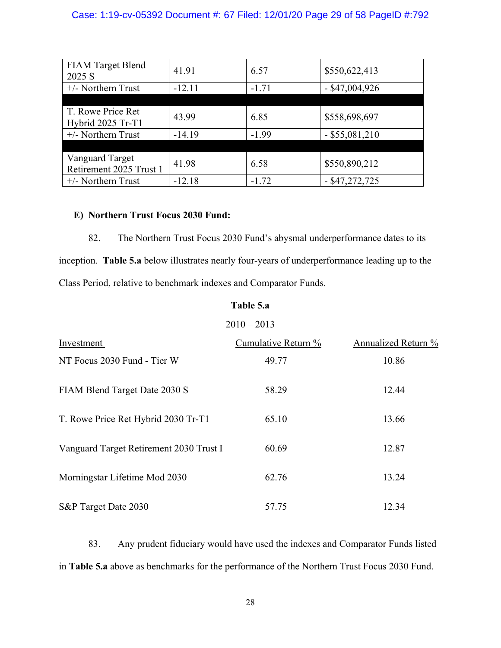## Case: 1:19-cv-05392 Document #: 67 Filed: 12/01/20 Page 29 of 58 PageID #:792

| <b>FIAM Target Blend</b><br>2025 S         | 41.91    | 6.57    | \$550,622,413    |
|--------------------------------------------|----------|---------|------------------|
| $+/-$ Northern Trust                       | $-12.11$ | $-1.71$ | $-$ \$47,004,926 |
|                                            |          |         |                  |
| T. Rowe Price Ret<br>Hybrid 2025 Tr-T1     | 43.99    | 6.85    | \$558,698,697    |
| $+/-$ Northern Trust                       | $-14.19$ | $-1.99$ | $-$ \$55,081,210 |
|                                            |          |         |                  |
| Vanguard Target<br>Retirement 2025 Trust 1 | 41.98    | 6.58    | \$550,890,212    |
| $+/-$ Northern Trust                       | $-12.18$ | $-1.72$ | $-$ \$47,272,725 |

## **E) Northern Trust Focus 2030 Fund:**

82. The Northern Trust Focus 2030 Fund's abysmal underperformance dates to its inception. **Table 5.a** below illustrates nearly four-years of underperformance leading up to the Class Period, relative to benchmark indexes and Comparator Funds.

## **Table 5.a**

# $2010 - 2013$ Investment Cumulative Return % Annualized Return % NT Focus 2030 Fund - Tier W 49.77 10.86 FIAM Blend Target Date 2030 S 58.29 12.44 T. Rowe Price Ret Hybrid 2030 Tr-T1 65.10 13.66 Vanguard Target Retirement 2030 Trust I 60.69 12.87 Morningstar Lifetime Mod 2030 62.76 13.24 S&P Target Date 2030 57.75 12.34

83. Any prudent fiduciary would have used the indexes and Comparator Funds listed in **Table 5.a** above as benchmarks for the performance of the Northern Trust Focus 2030 Fund.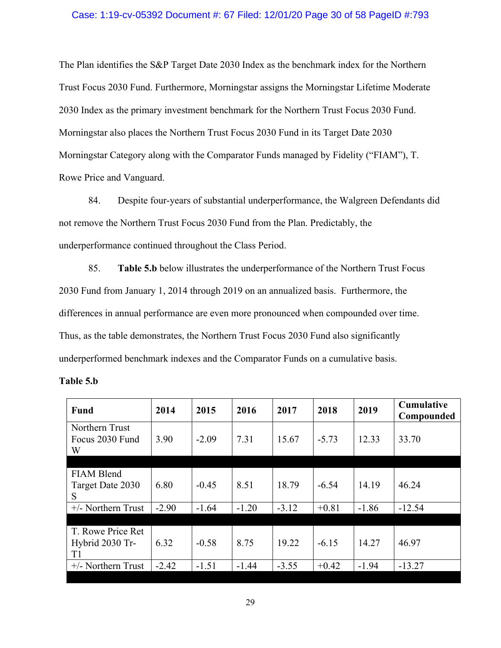## Case: 1:19-cv-05392 Document #: 67 Filed: 12/01/20 Page 30 of 58 PageID #:793

The Plan identifies the S&P Target Date 2030 Index as the benchmark index for the Northern Trust Focus 2030 Fund. Furthermore, Morningstar assigns the Morningstar Lifetime Moderate 2030 Index as the primary investment benchmark for the Northern Trust Focus 2030 Fund. Morningstar also places the Northern Trust Focus 2030 Fund in its Target Date 2030 Morningstar Category along with the Comparator Funds managed by Fidelity ("FIAM"), T. Rowe Price and Vanguard.

84. Despite four-years of substantial underperformance, the Walgreen Defendants did not remove the Northern Trust Focus 2030 Fund from the Plan. Predictably, the underperformance continued throughout the Class Period.

85. **Table 5.b** below illustrates the underperformance of the Northern Trust Focus 2030 Fund from January 1, 2014 through 2019 on an annualized basis. Furthermore, the differences in annual performance are even more pronounced when compounded over time. Thus, as the table demonstrates, the Northern Trust Focus 2030 Fund also significantly underperformed benchmark indexes and the Comparator Funds on a cumulative basis.

| Fund                                       | 2014    | 2015    | 2016    | 2017    | 2018    | 2019    | Cumulative<br>Compounded |
|--------------------------------------------|---------|---------|---------|---------|---------|---------|--------------------------|
| Northern Trust<br>Focus 2030 Fund<br>W     | 3.90    | $-2.09$ | 7.31    | 15.67   | $-5.73$ | 12.33   | 33.70                    |
|                                            |         |         |         |         |         |         |                          |
| <b>FIAM Blend</b><br>Target Date 2030<br>S | 6.80    | $-0.45$ | 8.51    | 18.79   | $-6.54$ | 14.19   | 46.24                    |
| $+/-$ Northern Trust                       | $-2.90$ | $-1.64$ | $-1.20$ | $-3.12$ | $+0.81$ | $-1.86$ | $-12.54$                 |
|                                            |         |         |         |         |         |         |                          |
| T. Rowe Price Ret<br>Hybrid 2030 Tr-<br>T1 | 6.32    | $-0.58$ | 8.75    | 19.22   | $-6.15$ | 14.27   | 46.97                    |
| $+/-$ Northern Trust                       | $-2.42$ | $-1.51$ | $-1.44$ | $-3.55$ | $+0.42$ | $-1.94$ | $-13.27$                 |
|                                            |         |         |         |         |         |         |                          |

| Table 5.b |  |
|-----------|--|
|-----------|--|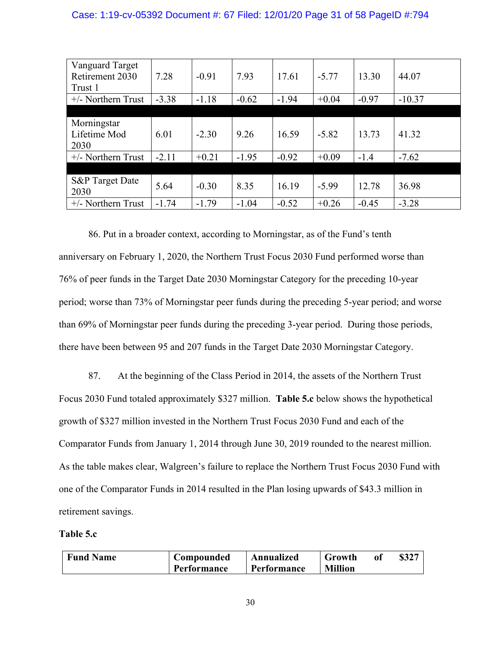## Case: 1:19-cv-05392 Document #: 67 Filed: 12/01/20 Page 31 of 58 PageID #:794

| Vanguard Target            |         |         |         |         |         |         |          |
|----------------------------|---------|---------|---------|---------|---------|---------|----------|
| Retirement 2030            | 7.28    | $-0.91$ | 7.93    | 17.61   | $-5.77$ | 13.30   | 44.07    |
| Trust 1                    |         |         |         |         |         |         |          |
| $+/-$ Northern Trust       | $-3.38$ | $-1.18$ | $-0.62$ | $-1.94$ | $+0.04$ | $-0.97$ | $-10.37$ |
|                            |         |         |         |         |         |         |          |
| Morningstar                |         |         |         |         |         |         |          |
| Lifetime Mod               | 6.01    | $-2.30$ | 9.26    | 16.59   | $-5.82$ | 13.73   | 41.32    |
| 2030                       |         |         |         |         |         |         |          |
| $+/-$ Northern Trust       | $-2.11$ | $+0.21$ | $-1.95$ | $-0.92$ | $+0.09$ | $-1.4$  | $-7.62$  |
|                            |         |         |         |         |         |         |          |
| <b>S&amp;P</b> Target Date | 5.64    | $-0.30$ | 8.35    | 16.19   | $-5.99$ | 12.78   | 36.98    |
| 2030                       |         |         |         |         |         |         |          |
| $+/-$ Northern Trust       | $-1.74$ | $-1.79$ | $-1.04$ | $-0.52$ | $+0.26$ | $-0.45$ | $-3.28$  |

86. Put in a broader context, according to Morningstar, as of the Fund's tenth anniversary on February 1, 2020, the Northern Trust Focus 2030 Fund performed worse than 76% of peer funds in the Target Date 2030 Morningstar Category for the preceding 10-year period; worse than 73% of Morningstar peer funds during the preceding 5-year period; and worse than 69% of Morningstar peer funds during the preceding 3-year period. During those periods, there have been between 95 and 207 funds in the Target Date 2030 Morningstar Category.

87. At the beginning of the Class Period in 2014, the assets of the Northern Trust Focus 2030 Fund totaled approximately \$327 million. **Table 5.c** below shows the hypothetical growth of \$327 million invested in the Northern Trust Focus 2030 Fund and each of the Comparator Funds from January 1, 2014 through June 30, 2019 rounded to the nearest million. As the table makes clear, Walgreen's failure to replace the Northern Trust Focus 2030 Fund with one of the Comparator Funds in 2014 resulted in the Plan losing upwards of \$43.3 million in retirement savings.

## **Table 5.c**

| <b>Fund Name</b> | Compounded  | Annualized  | Growth         | \$327 |
|------------------|-------------|-------------|----------------|-------|
|                  | Performance | Performance | <b>Million</b> |       |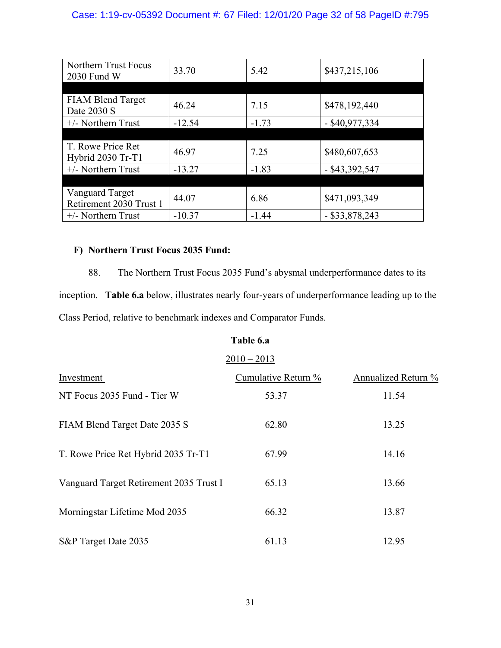## Case: 1:19-cv-05392 Document #: 67 Filed: 12/01/20 Page 32 of 58 PageID #:795

| Northern Trust Focus<br>2030 Fund W | 33.70    | 5.42    | \$437,215,106    |
|-------------------------------------|----------|---------|------------------|
|                                     |          |         |                  |
| <b>FIAM Blend Target</b>            |          |         |                  |
| Date 2030 S                         | 46.24    | 7.15    | \$478,192,440    |
| $+/-$ Northern Trust                | $-12.54$ | $-1.73$ | $-$ \$40,977,334 |
|                                     |          |         |                  |
| T. Rowe Price Ret                   |          | 7.25    |                  |
| Hybrid 2030 Tr-T1                   | 46.97    |         | \$480,607,653    |
| $+/-$ Northern Trust                | $-13.27$ | $-1.83$ | $-$ \$43,392,547 |
|                                     |          |         |                  |
| <b>Vanguard Target</b>              |          |         |                  |
| Retirement 2030 Trust 1             | 44.07    | 6.86    | \$471,093,349    |
| $+/-$ Northern Trust                | $-10.37$ | $-1.44$ | $-$ \$33,878,243 |

## **F) Northern Trust Focus 2035 Fund:**

88. The Northern Trust Focus 2035 Fund's abysmal underperformance dates to its inception. **Table 6.a** below, illustrates nearly four-years of underperformance leading up to the Class Period, relative to benchmark indexes and Comparator Funds.

## **Table 6.a**

## $2010 - 2013$

| Investment                              | Cumulative Return % | Annualized Return % |
|-----------------------------------------|---------------------|---------------------|
| NT Focus 2035 Fund - Tier W             | 53.37               | 11.54               |
| FIAM Blend Target Date 2035 S           | 62.80               | 13.25               |
| T. Rowe Price Ret Hybrid 2035 Tr-T1     | 67.99               | 14.16               |
| Vanguard Target Retirement 2035 Trust I | 65.13               | 13.66               |
| Morningstar Lifetime Mod 2035           | 66.32               | 13.87               |
| S&P Target Date 2035                    | 61.13               | 12.95               |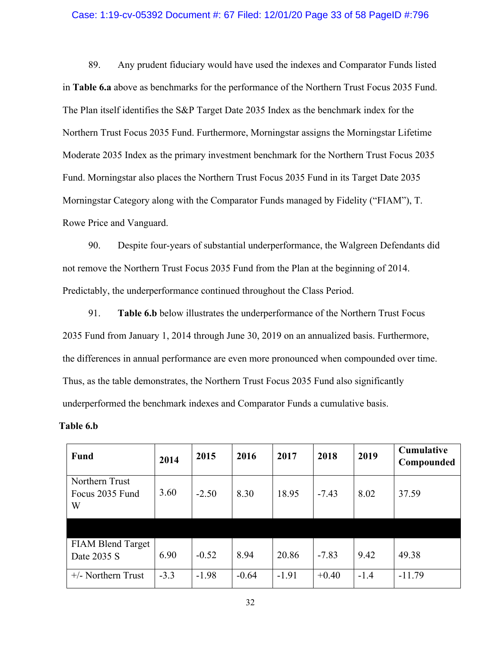### Case: 1:19-cv-05392 Document #: 67 Filed: 12/01/20 Page 33 of 58 PageID #:796

89. Any prudent fiduciary would have used the indexes and Comparator Funds listed in **Table 6.a** above as benchmarks for the performance of the Northern Trust Focus 2035 Fund. The Plan itself identifies the S&P Target Date 2035 Index as the benchmark index for the Northern Trust Focus 2035 Fund. Furthermore, Morningstar assigns the Morningstar Lifetime Moderate 2035 Index as the primary investment benchmark for the Northern Trust Focus 2035 Fund. Morningstar also places the Northern Trust Focus 2035 Fund in its Target Date 2035 Morningstar Category along with the Comparator Funds managed by Fidelity ("FIAM"), T. Rowe Price and Vanguard.

90. Despite four-years of substantial underperformance, the Walgreen Defendants did not remove the Northern Trust Focus 2035 Fund from the Plan at the beginning of 2014. Predictably, the underperformance continued throughout the Class Period.

91. **Table 6.b** below illustrates the underperformance of the Northern Trust Focus 2035 Fund from January 1, 2014 through June 30, 2019 on an annualized basis. Furthermore, the differences in annual performance are even more pronounced when compounded over time. Thus, as the table demonstrates, the Northern Trust Focus 2035 Fund also significantly underperformed the benchmark indexes and Comparator Funds a cumulative basis.

**Table 6.b**

| <b>Fund</b>                             | 2014   | 2015    | 2016    | 2017    | 2018    | 2019   | Cumulative<br>Compounded |
|-----------------------------------------|--------|---------|---------|---------|---------|--------|--------------------------|
| Northern Trust<br>Focus 2035 Fund<br>W  | 3.60   | $-2.50$ | 8.30    | 18.95   | $-7.43$ | 8.02   | 37.59                    |
|                                         |        |         |         |         |         |        |                          |
| <b>FIAM Blend Target</b><br>Date 2035 S | 6.90   | $-0.52$ | 8.94    | 20.86   | $-7.83$ | 9.42   | 49.38                    |
| $+/-$ Northern Trust                    | $-3.3$ | $-1.98$ | $-0.64$ | $-1.91$ | $+0.40$ | $-1.4$ | $-11.79$                 |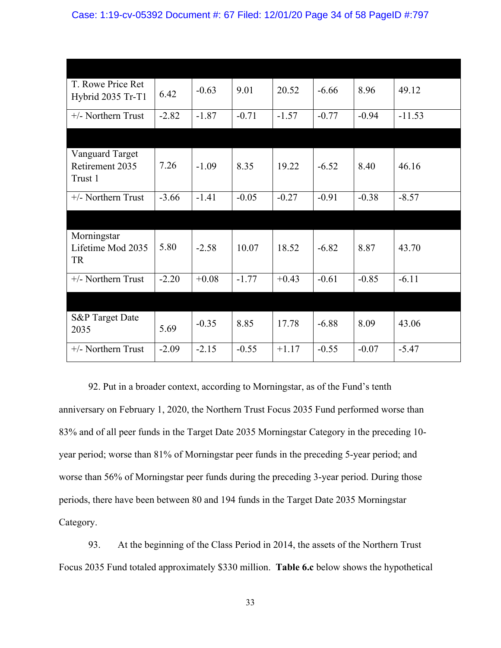| T. Rowe Price Ret<br>Hybrid 2035 Tr-T1        | 6.42    | $-0.63$ | 9.01    | 20.52   | $-6.66$ | 8.96    | 49.12    |
|-----------------------------------------------|---------|---------|---------|---------|---------|---------|----------|
| $+/-$ Northern Trust                          | $-2.82$ | $-1.87$ | $-0.71$ | $-1.57$ | $-0.77$ | $-0.94$ | $-11.53$ |
|                                               |         |         |         |         |         |         |          |
| Vanguard Target<br>Retirement 2035<br>Trust 1 | 7.26    | $-1.09$ | 8.35    | 19.22   | $-6.52$ | 8.40    | 46.16    |
| $+/-$ Northern Trust                          | $-3.66$ | $-1.41$ | $-0.05$ | $-0.27$ | $-0.91$ | $-0.38$ | $-8.57$  |
|                                               |         |         |         |         |         |         |          |
| Morningstar<br>Lifetime Mod 2035<br>TR        | 5.80    | $-2.58$ | 10.07   | 18.52   | $-6.82$ | 8.87    | 43.70    |
| $+/-$ Northern Trust                          | $-2.20$ | $+0.08$ | $-1.77$ | $+0.43$ | $-0.61$ | $-0.85$ | $-6.11$  |
|                                               |         |         |         |         |         |         |          |
| <b>S&amp;P</b> Target Date<br>2035            | 5.69    | $-0.35$ | 8.85    | 17.78   | $-6.88$ | 8.09    | 43.06    |
| +/- Northern Trust                            | $-2.09$ | $-2.15$ | $-0.55$ | $+1.17$ | $-0.55$ | $-0.07$ | $-5.47$  |

92. Put in a broader context, according to Morningstar, as of the Fund's tenth anniversary on February 1, 2020, the Northern Trust Focus 2035 Fund performed worse than 83% and of all peer funds in the Target Date 2035 Morningstar Category in the preceding 10 year period; worse than 81% of Morningstar peer funds in the preceding 5-year period; and worse than 56% of Morningstar peer funds during the preceding 3-year period. During those periods, there have been between 80 and 194 funds in the Target Date 2035 Morningstar Category.

93. At the beginning of the Class Period in 2014, the assets of the Northern Trust Focus 2035 Fund totaled approximately \$330 million. **Table 6.c** below shows the hypothetical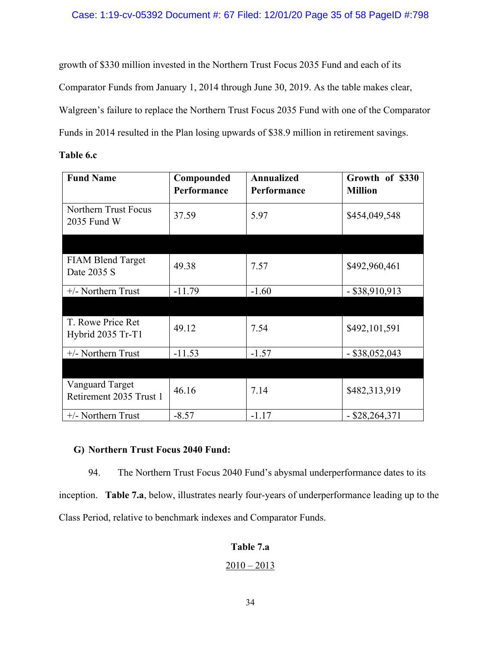growth of \$330 million invested in the Northern Trust Focus 2035 Fund and each of its Comparator Funds from January 1, 2014 through June 30, 2019. As the table makes clear, Walgreen's failure to replace the Northern Trust Focus 2035 Fund with one of the Comparator Funds in 2014 resulted in the Plan losing upwards of \$38.9 million in retirement savings.

| Table 6.c |  |
|-----------|--|
|-----------|--|

| <b>Fund Name</b>                           | Compounded<br>Performance | <b>Annualized</b><br>Performance | Growth of \$330<br><b>Million</b> |
|--------------------------------------------|---------------------------|----------------------------------|-----------------------------------|
| Northern Trust Focus<br>2035 Fund W        | 37.59                     | 5.97                             | \$454,049,548                     |
|                                            |                           |                                  |                                   |
| <b>FIAM Blend Target</b><br>Date 2035 S    | 49.38                     | 7.57                             | \$492,960,461                     |
| $+/-$ Northern Trust                       | $-11.79$                  | $-1.60$                          | $-$ \$38,910,913                  |
|                                            |                           |                                  |                                   |
| T. Rowe Price Ret<br>Hybrid 2035 Tr-T1     | 49.12                     | 7.54                             | \$492,101,591                     |
| $+/-$ Northern Trust                       | $-11.53$                  | $-1.57$                          | $-$ \$38,052,043                  |
|                                            |                           |                                  |                                   |
| Vanguard Target<br>Retirement 2035 Trust 1 | 46.16                     | 7.14                             | \$482,313,919                     |
| $+/-$ Northern Trust                       | $-8.57$                   | $-1.17$                          | $-$ \$28,264,371                  |

## **G) Northern Trust Focus 2040 Fund:**

94. The Northern Trust Focus 2040 Fund's abysmal underperformance dates to its inception. **Table 7.a**, below, illustrates nearly four-years of underperformance leading up to the Class Period, relative to benchmark indexes and Comparator Funds.

## **Table 7.a**

## $\frac{2010 - 2013}{ }$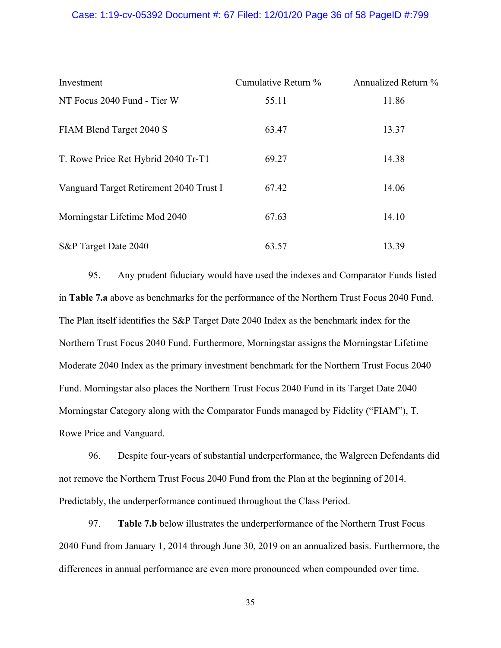## Case: 1:19-cv-05392 Document #: 67 Filed: 12/01/20 Page 36 of 58 PageID #:799

| Investment                              | Cumulative Return % | Annualized Return % |
|-----------------------------------------|---------------------|---------------------|
| NT Focus 2040 Fund - Tier W             | 55.11               | 11.86               |
| FIAM Blend Target 2040 S                | 63.47               | 13.37               |
| T. Rowe Price Ret Hybrid 2040 Tr-T1     | 69.27               | 14.38               |
| Vanguard Target Retirement 2040 Trust I | 67.42               | 14.06               |
| Morningstar Lifetime Mod 2040           | 67.63               | 14.10               |
| S&P Target Date 2040                    | 63.57               | 13.39               |

95. Any prudent fiduciary would have used the indexes and Comparator Funds listed in **Table 7.a** above as benchmarks for the performance of the Northern Trust Focus 2040 Fund. The Plan itself identifies the S&P Target Date 2040 Index as the benchmark index for the Northern Trust Focus 2040 Fund. Furthermore, Morningstar assigns the Morningstar Lifetime Moderate 2040 Index as the primary investment benchmark for the Northern Trust Focus 2040 Fund. Morningstar also places the Northern Trust Focus 2040 Fund in its Target Date 2040 Morningstar Category along with the Comparator Funds managed by Fidelity ("FIAM"), T. Rowe Price and Vanguard.

96. Despite four-years of substantial underperformance, the Walgreen Defendants did not remove the Northern Trust Focus 2040 Fund from the Plan at the beginning of 2014. Predictably, the underperformance continued throughout the Class Period.

97. **Table 7.b** below illustrates the underperformance of the Northern Trust Focus 2040 Fund from January 1, 2014 through June 30, 2019 on an annualized basis. Furthermore, the differences in annual performance are even more pronounced when compounded over time.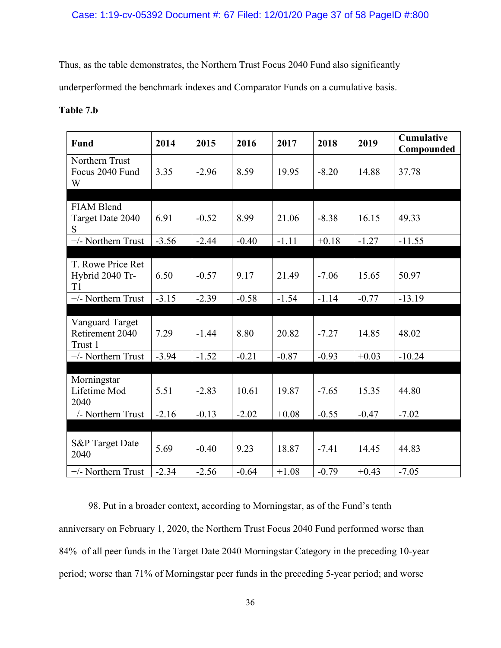## Case: 1:19-cv-05392 Document #: 67 Filed: 12/01/20 Page 37 of 58 PageID #:800

Thus, as the table demonstrates, the Northern Trust Focus 2040 Fund also significantly

underperformed the benchmark indexes and Comparator Funds on a cumulative basis.

## **Table 7.b**

| <b>Fund</b>                                          | 2014    | 2015    | 2016    | 2017    | 2018    | 2019    | <b>Cumulative</b><br>Compounded |
|------------------------------------------------------|---------|---------|---------|---------|---------|---------|---------------------------------|
| Northern Trust<br>Focus 2040 Fund<br>W               | 3.35    | $-2.96$ | 8.59    | 19.95   | $-8.20$ | 14.88   | 37.78                           |
| <b>FIAM Blend</b><br>Target Date 2040<br>S           | 6.91    | $-0.52$ | 8.99    | 21.06   | $-8.38$ | 16.15   | 49.33                           |
| +/- Northern Trust                                   | $-3.56$ | $-2.44$ | $-0.40$ | $-1.11$ | $+0.18$ | $-1.27$ | $-11.55$                        |
| T. Rowe Price Ret<br>Hybrid 2040 Tr-<br>T1           | 6.50    | $-0.57$ | 9.17    | 21.49   | $-7.06$ | 15.65   | 50.97                           |
| +/- Northern Trust                                   | $-3.15$ | $-2.39$ | $-0.58$ | $-1.54$ | $-1.14$ | $-0.77$ | $-13.19$                        |
|                                                      |         |         |         |         |         |         |                                 |
| <b>Vanguard Target</b><br>Retirement 2040<br>Trust 1 | 7.29    | $-1.44$ | 8.80    | 20.82   | $-7.27$ | 14.85   | 48.02                           |
| +/- Northern Trust                                   | $-3.94$ | $-1.52$ | $-0.21$ | $-0.87$ | $-0.93$ | $+0.03$ | $-10.24$                        |
| Morningstar<br>Lifetime Mod<br>2040                  | 5.51    | $-2.83$ | 10.61   | 19.87   | $-7.65$ | 15.35   | 44.80                           |
| +/- Northern Trust                                   | $-2.16$ | $-0.13$ | $-2.02$ | $+0.08$ | $-0.55$ | $-0.47$ | $-7.02$                         |
|                                                      |         |         |         |         |         |         |                                 |
| <b>S&amp;P</b> Target Date<br>2040                   | 5.69    | $-0.40$ | 9.23    | 18.87   | $-7.41$ | 14.45   | 44.83                           |
| +/- Northern Trust                                   | $-2.34$ | $-2.56$ | $-0.64$ | $+1.08$ | $-0.79$ | $+0.43$ | $-7.05$                         |

98. Put in a broader context, according to Morningstar, as of the Fund's tenth anniversary on February 1, 2020, the Northern Trust Focus 2040 Fund performed worse than 84% of all peer funds in the Target Date 2040 Morningstar Category in the preceding 10-year period; worse than 71% of Morningstar peer funds in the preceding 5-year period; and worse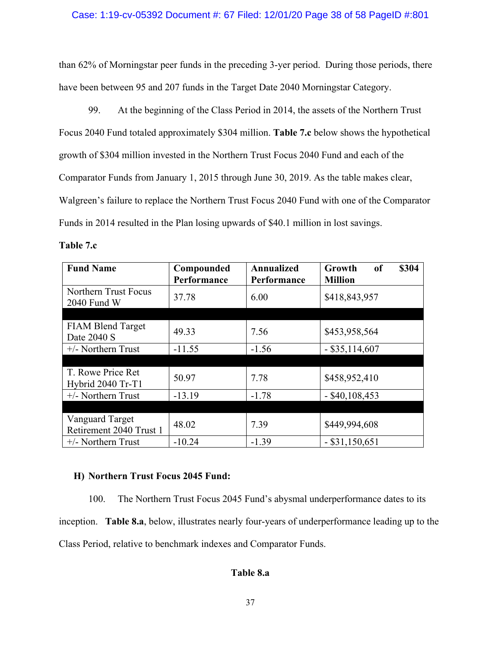## Case: 1:19-cv-05392 Document #: 67 Filed: 12/01/20 Page 38 of 58 PageID #:801

than 62% of Morningstar peer funds in the preceding 3-yer period. During those periods, there have been between 95 and 207 funds in the Target Date 2040 Morningstar Category.

99. At the beginning of the Class Period in 2014, the assets of the Northern Trust Focus 2040 Fund totaled approximately \$304 million. **Table 7.c** below shows the hypothetical growth of \$304 million invested in the Northern Trust Focus 2040 Fund and each of the Comparator Funds from January 1, 2015 through June 30, 2019. As the table makes clear, Walgreen's failure to replace the Northern Trust Focus 2040 Fund with one of the Comparator Funds in 2014 resulted in the Plan losing upwards of \$40.1 million in lost savings.

**Table 7.c**

| <b>Fund Name</b>                                  | Compounded  | Annualized  | of<br>\$304<br>Growth |
|---------------------------------------------------|-------------|-------------|-----------------------|
|                                                   | Performance | Performance | <b>Million</b>        |
| Northern Trust Focus<br>2040 Fund W               | 37.78       | 6.00        | \$418,843,957         |
|                                                   |             |             |                       |
| <b>FIAM Blend Target</b><br>Date 2040 S           | 49.33       | 7.56        | \$453,958,564         |
| $+/-$ Northern Trust                              | $-11.55$    | $-1.56$     | $-$ \$35,114,607      |
|                                                   |             |             |                       |
| T. Rowe Price Ret<br>Hybrid 2040 Tr-T1            | 50.97       | 7.78        | \$458,952,410         |
| +/- Northern Trust                                | $-13.19$    | $-1.78$     | $-$ \$40,108,453      |
|                                                   |             |             |                       |
| <b>Vanguard Target</b><br>Retirement 2040 Trust 1 | 48.02       | 7.39        | \$449,994,608         |
| $+/-$ Northern Trust                              | $-10.24$    | $-1.39$     | $-$ \$31,150,651      |

### **H) Northern Trust Focus 2045 Fund:**

100. The Northern Trust Focus 2045 Fund's abysmal underperformance dates to its inception. **Table 8.a**, below, illustrates nearly four-years of underperformance leading up to the Class Period, relative to benchmark indexes and Comparator Funds.

## **Table 8.a**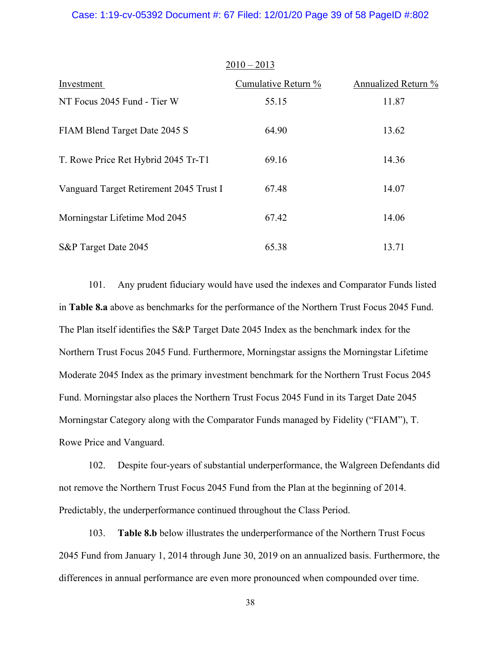### Case: 1:19-cv-05392 Document #: 67 Filed: 12/01/20 Page 39 of 58 PageID #:802

|                                         | $2010 - 2013$       |                     |
|-----------------------------------------|---------------------|---------------------|
| Investment                              | Cumulative Return % | Annualized Return % |
| NT Focus 2045 Fund - Tier W             | 55.15               | 11.87               |
| FIAM Blend Target Date 2045 S           | 64.90               | 13.62               |
| T. Rowe Price Ret Hybrid 2045 Tr-T1     | 69.16               | 14.36               |
| Vanguard Target Retirement 2045 Trust I | 67.48               | 14.07               |
| Morningstar Lifetime Mod 2045           | 67.42               | 14.06               |
| S&P Target Date 2045                    | 65.38               | 13.71               |

101. Any prudent fiduciary would have used the indexes and Comparator Funds listed in **Table 8.a** above as benchmarks for the performance of the Northern Trust Focus 2045 Fund. The Plan itself identifies the S&P Target Date 2045 Index as the benchmark index for the Northern Trust Focus 2045 Fund. Furthermore, Morningstar assigns the Morningstar Lifetime Moderate 2045 Index as the primary investment benchmark for the Northern Trust Focus 2045 Fund. Morningstar also places the Northern Trust Focus 2045 Fund in its Target Date 2045 Morningstar Category along with the Comparator Funds managed by Fidelity ("FIAM"), T. Rowe Price and Vanguard.

102. Despite four-years of substantial underperformance, the Walgreen Defendants did not remove the Northern Trust Focus 2045 Fund from the Plan at the beginning of 2014. Predictably, the underperformance continued throughout the Class Period.

103. **Table 8.b** below illustrates the underperformance of the Northern Trust Focus 2045 Fund from January 1, 2014 through June 30, 2019 on an annualized basis. Furthermore, the differences in annual performance are even more pronounced when compounded over time.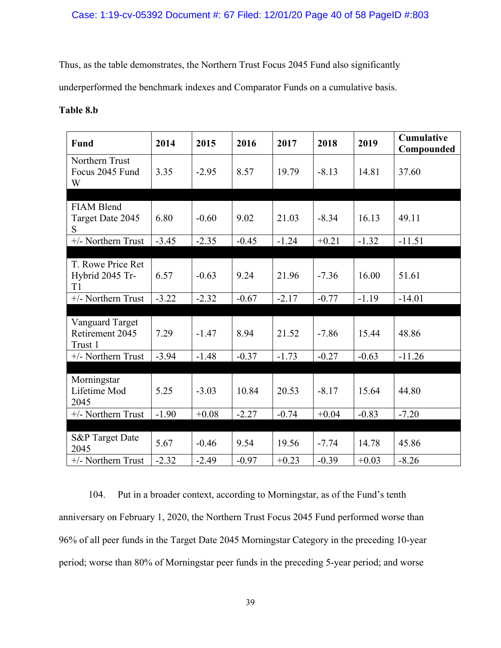## Case: 1:19-cv-05392 Document #: 67 Filed: 12/01/20 Page 40 of 58 PageID #:803

Thus, as the table demonstrates, the Northern Trust Focus 2045 Fund also significantly

underperformed the benchmark indexes and Comparator Funds on a cumulative basis.

## **Table 8.b**

| <b>Fund</b>                                   | 2014    | 2015    | 2016    | 2017    | 2018    | 2019    | <b>Cumulative</b><br>Compounded |
|-----------------------------------------------|---------|---------|---------|---------|---------|---------|---------------------------------|
| Northern Trust<br>Focus 2045 Fund<br>W        | 3.35    | $-2.95$ | 8.57    | 19.79   | $-8.13$ | 14.81   | 37.60                           |
|                                               |         |         |         |         |         |         |                                 |
| <b>FIAM Blend</b><br>Target Date 2045<br>S    | 6.80    | $-0.60$ | 9.02    | 21.03   | $-8.34$ | 16.13   | 49.11                           |
| +/- Northern Trust                            | $-3.45$ | $-2.35$ | $-0.45$ | $-1.24$ | $+0.21$ | $-1.32$ | $-11.51$                        |
|                                               |         |         |         |         |         |         |                                 |
| T. Rowe Price Ret<br>Hybrid 2045 Tr-<br>T1    | 6.57    | $-0.63$ | 9.24    | 21.96   | $-7.36$ | 16.00   | 51.61                           |
| +/- Northern Trust                            | $-3.22$ | $-2.32$ | $-0.67$ | $-2.17$ | $-0.77$ | $-1.19$ | $-14.01$                        |
|                                               |         |         |         |         |         |         |                                 |
| Vanguard Target<br>Retirement 2045<br>Trust 1 | 7.29    | $-1.47$ | 8.94    | 21.52   | $-7.86$ | 15.44   | 48.86                           |
| +/- Northern Trust                            | $-3.94$ | $-1.48$ | $-0.37$ | $-1.73$ | $-0.27$ | $-0.63$ | $-11.26$                        |
|                                               |         |         |         |         |         |         |                                 |
| Morningstar<br>Lifetime Mod<br>2045           | 5.25    | $-3.03$ | 10.84   | 20.53   | $-8.17$ | 15.64   | 44.80                           |
| +/- Northern Trust                            | $-1.90$ | $+0.08$ | $-2.27$ | $-0.74$ | $+0.04$ | $-0.83$ | $-7.20$                         |
|                                               |         |         |         |         |         |         |                                 |
| <b>S&amp;P</b> Target Date<br>2045            | 5.67    | $-0.46$ | 9.54    | 19.56   | $-7.74$ | 14.78   | 45.86                           |
| +/- Northern Trust                            | $-2.32$ | $-2.49$ | $-0.97$ | $+0.23$ | $-0.39$ | $+0.03$ | $-8.26$                         |

104. Put in a broader context, according to Morningstar, as of the Fund's tenth anniversary on February 1, 2020, the Northern Trust Focus 2045 Fund performed worse than 96% of all peer funds in the Target Date 2045 Morningstar Category in the preceding 10-year period; worse than 80% of Morningstar peer funds in the preceding 5-year period; and worse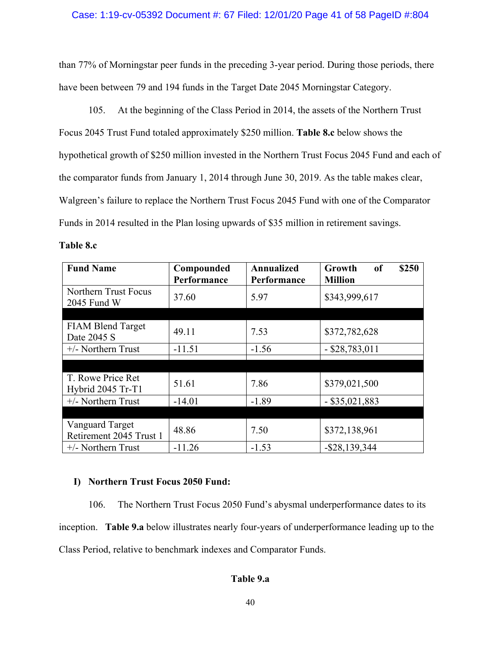## Case: 1:19-cv-05392 Document #: 67 Filed: 12/01/20 Page 41 of 58 PageID #:804

than 77% of Morningstar peer funds in the preceding 3-year period. During those periods, there have been between 79 and 194 funds in the Target Date 2045 Morningstar Category.

105. At the beginning of the Class Period in 2014, the assets of the Northern Trust Focus 2045 Trust Fund totaled approximately \$250 million. **Table 8.c** below shows the hypothetical growth of \$250 million invested in the Northern Trust Focus 2045 Fund and each of the comparator funds from January 1, 2014 through June 30, 2019. As the table makes clear, Walgreen's failure to replace the Northern Trust Focus 2045 Fund with one of the Comparator Funds in 2014 resulted in the Plan losing upwards of \$35 million in retirement savings.

**Table 8.c**

| <b>Fund Name</b>                                  | Compounded<br>Performance | <b>Annualized</b><br>Performance | of<br>\$250<br>Growth<br><b>Million</b> |
|---------------------------------------------------|---------------------------|----------------------------------|-----------------------------------------|
| Northern Trust Focus<br>2045 Fund W               | 37.60                     | 5.97                             | \$343,999,617                           |
|                                                   |                           |                                  |                                         |
| <b>FIAM Blend Target</b><br>Date 2045 S           | 49.11                     | 7.53                             | \$372,782,628                           |
| $+/-$ Northern Trust                              | $-11.51$                  | $-1.56$                          | $-$ \$28,783,011                        |
|                                                   |                           |                                  |                                         |
|                                                   |                           |                                  |                                         |
| T. Rowe Price Ret<br>Hybrid 2045 Tr-T1            | 51.61                     | 7.86                             | \$379,021,500                           |
| $+/-$ Northern Trust                              | $-14.01$                  | $-1.89$                          | $-$ \$35,021,883                        |
|                                                   |                           |                                  |                                         |
| <b>Vanguard Target</b><br>Retirement 2045 Trust 1 | 48.86                     | 7.50                             | \$372,138,961                           |
| $+/-$ Northern Trust                              | $-11.26$                  | $-1.53$                          | $-$ \$28,139,344                        |

## **I) Northern Trust Focus 2050 Fund:**

106. The Northern Trust Focus 2050 Fund's abysmal underperformance dates to its inception. **Table 9.a** below illustrates nearly four-years of underperformance leading up to the Class Period, relative to benchmark indexes and Comparator Funds.

## **Table 9.a**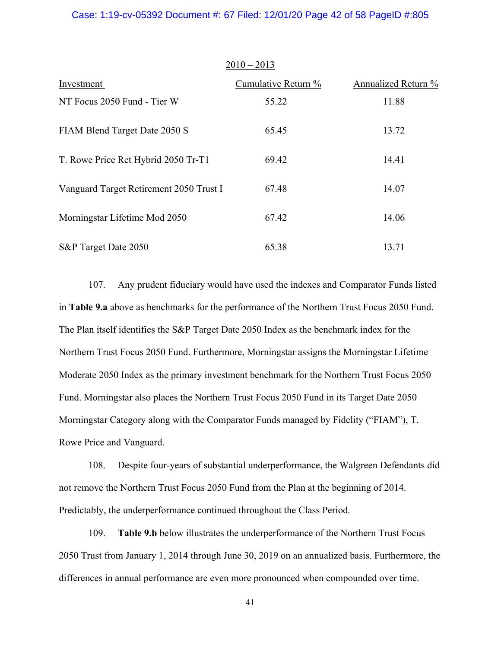### Case: 1:19-cv-05392 Document #: 67 Filed: 12/01/20 Page 42 of 58 PageID #:805

|                                         | $2010 - 2013$       |                     |
|-----------------------------------------|---------------------|---------------------|
| Investment                              | Cumulative Return % | Annualized Return % |
| NT Focus 2050 Fund - Tier W             | 55.22               | 11.88               |
| FIAM Blend Target Date 2050 S           | 65.45               | 13.72               |
| T. Rowe Price Ret Hybrid 2050 Tr-T1     | 69.42               | 14.41               |
| Vanguard Target Retirement 2050 Trust I | 67.48               | 14.07               |
| Morningstar Lifetime Mod 2050           | 67.42               | 14.06               |
| S&P Target Date 2050                    | 65.38               | 13.71               |

107. Any prudent fiduciary would have used the indexes and Comparator Funds listed in **Table 9.a** above as benchmarks for the performance of the Northern Trust Focus 2050 Fund. The Plan itself identifies the S&P Target Date 2050 Index as the benchmark index for the Northern Trust Focus 2050 Fund. Furthermore, Morningstar assigns the Morningstar Lifetime Moderate 2050 Index as the primary investment benchmark for the Northern Trust Focus 2050 Fund. Morningstar also places the Northern Trust Focus 2050 Fund in its Target Date 2050 Morningstar Category along with the Comparator Funds managed by Fidelity ("FIAM"), T. Rowe Price and Vanguard.

108. Despite four-years of substantial underperformance, the Walgreen Defendants did not remove the Northern Trust Focus 2050 Fund from the Plan at the beginning of 2014. Predictably, the underperformance continued throughout the Class Period.

109. **Table 9.b** below illustrates the underperformance of the Northern Trust Focus 2050 Trust from January 1, 2014 through June 30, 2019 on an annualized basis. Furthermore, the differences in annual performance are even more pronounced when compounded over time.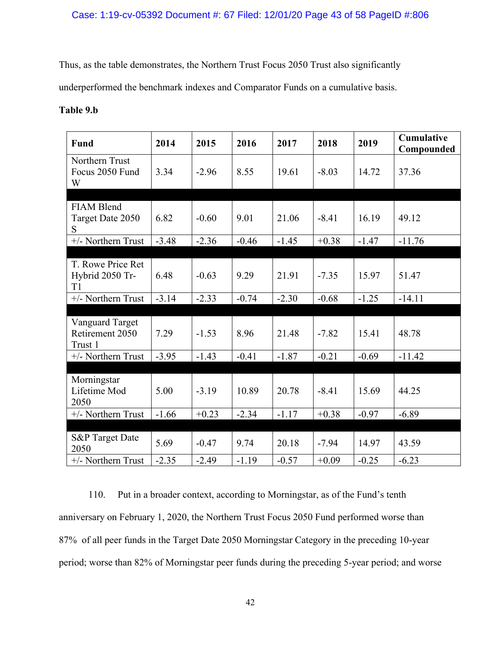## Case: 1:19-cv-05392 Document #: 67 Filed: 12/01/20 Page 43 of 58 PageID #:806

Thus, as the table demonstrates, the Northern Trust Focus 2050 Trust also significantly

underperformed the benchmark indexes and Comparator Funds on a cumulative basis.

## **Table 9.b**

| <b>Fund</b>                                   | 2014    | 2015    | 2016    | 2017    | 2018    | 2019    | <b>Cumulative</b><br>Compounded |
|-----------------------------------------------|---------|---------|---------|---------|---------|---------|---------------------------------|
| Northern Trust<br>Focus 2050 Fund<br>W        | 3.34    | $-2.96$ | 8.55    | 19.61   | $-8.03$ | 14.72   | 37.36                           |
|                                               |         |         |         |         |         |         |                                 |
| <b>FIAM Blend</b><br>Target Date 2050<br>S    | 6.82    | $-0.60$ | 9.01    | 21.06   | $-8.41$ | 16.19   | 49.12                           |
| +/- Northern Trust                            | $-3.48$ | $-2.36$ | $-0.46$ | $-1.45$ | $+0.38$ | $-1.47$ | $-11.76$                        |
|                                               |         |         |         |         |         |         |                                 |
| T. Rowe Price Ret<br>Hybrid 2050 Tr-<br>T1    | 6.48    | $-0.63$ | 9.29    | 21.91   | $-7.35$ | 15.97   | 51.47                           |
| +/- Northern Trust                            | $-3.14$ | $-2.33$ | $-0.74$ | $-2.30$ | $-0.68$ | $-1.25$ | $-14.11$                        |
|                                               |         |         |         |         |         |         |                                 |
| Vanguard Target<br>Retirement 2050<br>Trust 1 | 7.29    | $-1.53$ | 8.96    | 21.48   | $-7.82$ | 15.41   | 48.78                           |
| +/- Northern Trust                            | $-3.95$ | $-1.43$ | $-0.41$ | $-1.87$ | $-0.21$ | $-0.69$ | $-11.42$                        |
|                                               |         |         |         |         |         |         |                                 |
| Morningstar<br>Lifetime Mod<br>2050           | 5.00    | $-3.19$ | 10.89   | 20.78   | $-8.41$ | 15.69   | 44.25                           |
| +/- Northern Trust                            | $-1.66$ | $+0.23$ | $-2.34$ | $-1.17$ | $+0.38$ | $-0.97$ | $-6.89$                         |
|                                               |         |         |         |         |         |         |                                 |
| <b>S&amp;P</b> Target Date<br>2050            | 5.69    | $-0.47$ | 9.74    | 20.18   | $-7.94$ | 14.97   | 43.59                           |
| +/- Northern Trust                            | $-2.35$ | $-2.49$ | $-1.19$ | $-0.57$ | $+0.09$ | $-0.25$ | $-6.23$                         |

110. Put in a broader context, according to Morningstar, as of the Fund's tenth anniversary on February 1, 2020, the Northern Trust Focus 2050 Fund performed worse than 87% of all peer funds in the Target Date 2050 Morningstar Category in the preceding 10-year period; worse than 82% of Morningstar peer funds during the preceding 5-year period; and worse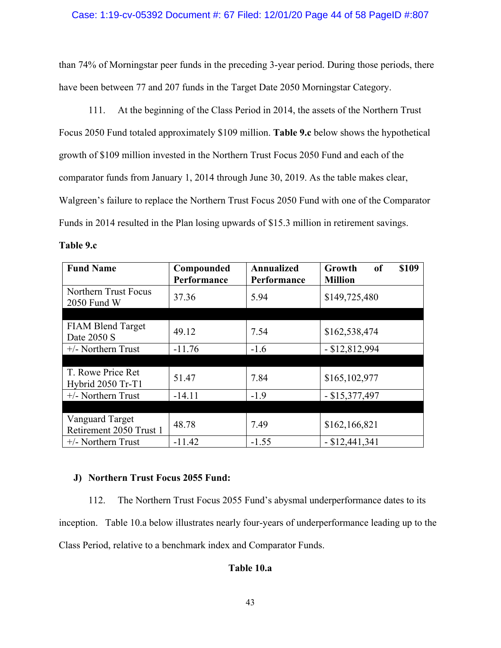## Case: 1:19-cv-05392 Document #: 67 Filed: 12/01/20 Page 44 of 58 PageID #:807

than 74% of Morningstar peer funds in the preceding 3-year period. During those periods, there have been between 77 and 207 funds in the Target Date 2050 Morningstar Category.

111. At the beginning of the Class Period in 2014, the assets of the Northern Trust Focus 2050 Fund totaled approximately \$109 million. **Table 9.c** below shows the hypothetical growth of \$109 million invested in the Northern Trust Focus 2050 Fund and each of the comparator funds from January 1, 2014 through June 30, 2019. As the table makes clear, Walgreen's failure to replace the Northern Trust Focus 2050 Fund with one of the Comparator Funds in 2014 resulted in the Plan losing upwards of \$15.3 million in retirement savings.

**Table 9.c**

| <b>Fund Name</b>                              | Compounded<br>Performance | <b>Annualized</b><br>Performance | \$109<br><sub>of</sub><br>Growth<br><b>Million</b> |
|-----------------------------------------------|---------------------------|----------------------------------|----------------------------------------------------|
| Northern Trust Focus<br>2050 Fund W           | 37.36                     | 5.94                             | \$149,725,480                                      |
|                                               |                           |                                  |                                                    |
| <b>FIAM Blend Target</b><br>Date 2050 S       | 49.12                     | 7.54                             | \$162,538,474                                      |
| $+/-$ Northern Trust                          | $-11.76$                  | $-1.6$                           | $- $12,812,994$                                    |
|                                               |                           |                                  |                                                    |
| T. Rowe Price Ret<br><b>Hybrid 2050 Tr-T1</b> | 51.47                     | 7.84                             | \$165,102,977                                      |
| $+/-$ Northern Trust                          | $-14.11$                  | $-1.9$                           | $-$ \$15,377,497                                   |
|                                               |                           |                                  |                                                    |
| Vanguard Target<br>Retirement 2050 Trust 1    | 48.78                     | 7.49                             | \$162,166,821                                      |
| $+/-$ Northern Trust                          | $-11.42$                  | $-1.55$                          | $-$ \$12,441,341                                   |

## **J) Northern Trust Focus 2055 Fund:**

112. The Northern Trust Focus 2055 Fund's abysmal underperformance dates to its inception. Table 10.a below illustrates nearly four-years of underperformance leading up to the Class Period, relative to a benchmark index and Comparator Funds.

## **Table 10.a**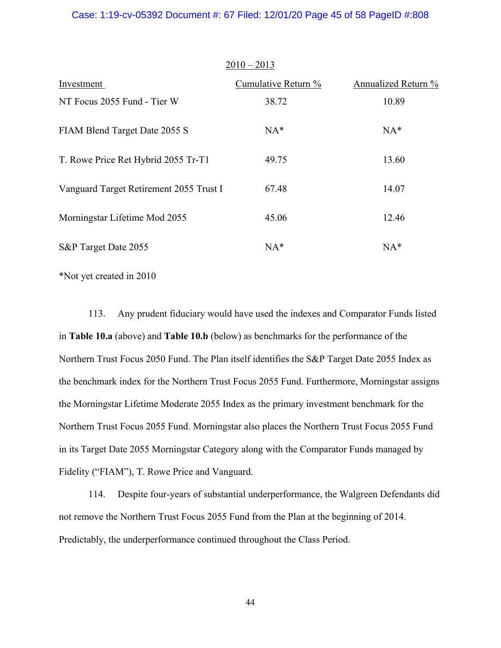### Case: 1:19-cv-05392 Document #: 67 Filed: 12/01/20 Page 45 of 58 PageID #:808

|                                         | $2010 - 2013$       |                     |
|-----------------------------------------|---------------------|---------------------|
| Investment                              | Cumulative Return % | Annualized Return % |
| NT Focus 2055 Fund - Tier W             | 38.72               | 10.89               |
| FIAM Blend Target Date 2055 S           | $NA*$               | $NA*$               |
| T. Rowe Price Ret Hybrid 2055 Tr-T1     | 49.75               | 13.60               |
| Vanguard Target Retirement 2055 Trust I | 67.48               | 14.07               |
| Morningstar Lifetime Mod 2055           | 45.06               | 12.46               |
| S&P Target Date 2055                    | $NA*$               | $NA*$               |

\*Not yet created in 2010

113. Any prudent fiduciary would have used the indexes and Comparator Funds listed in **Table 10.a** (above) and **Table 10.b** (below) as benchmarks for the performance of the Northern Trust Focus 2050 Fund. The Plan itself identifies the S&P Target Date 2055 Index as the benchmark index for the Northern Trust Focus 2055 Fund. Furthermore, Morningstar assigns the Morningstar Lifetime Moderate 2055 Index as the primary investment benchmark for the Northern Trust Focus 2055 Fund. Morningstar also places the Northern Trust Focus 2055 Fund in its Target Date 2055 Morningstar Category along with the Comparator Funds managed by Fidelity ("FIAM"), T. Rowe Price and Vanguard.

114. Despite four-years of substantial underperformance, the Walgreen Defendants did not remove the Northern Trust Focus 2055 Fund from the Plan at the beginning of 2014. Predictably, the underperformance continued throughout the Class Period.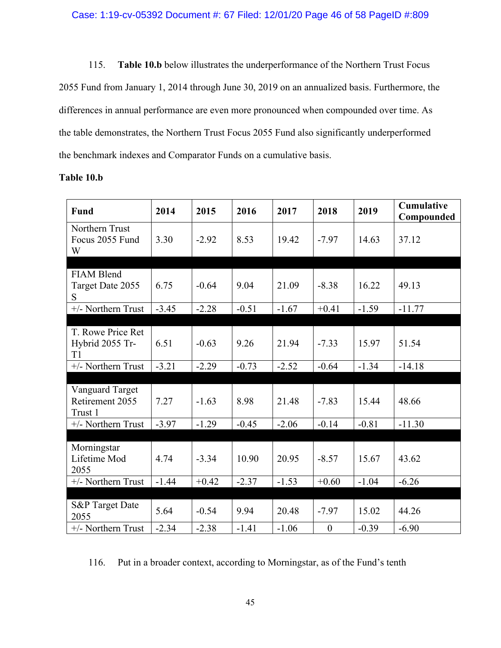115. **Table 10.b** below illustrates the underperformance of the Northern Trust Focus 2055 Fund from January 1, 2014 through June 30, 2019 on an annualized basis. Furthermore, the differences in annual performance are even more pronounced when compounded over time. As the table demonstrates, the Northern Trust Focus 2055 Fund also significantly underperformed the benchmark indexes and Comparator Funds on a cumulative basis.

| <b>Fund</b>                                   | 2014    | 2015    | 2016    | 2017    | 2018             | 2019    | <b>Cumulative</b><br>Compounded |
|-----------------------------------------------|---------|---------|---------|---------|------------------|---------|---------------------------------|
| Northern Trust<br>Focus 2055 Fund<br>W        | 3.30    | $-2.92$ | 8.53    | 19.42   | $-7.97$          | 14.63   | 37.12                           |
|                                               |         |         |         |         |                  |         |                                 |
| <b>FIAM Blend</b><br>Target Date 2055<br>S    | 6.75    | $-0.64$ | 9.04    | 21.09   | $-8.38$          | 16.22   | 49.13                           |
| +/- Northern Trust                            | $-3.45$ | $-2.28$ | $-0.51$ | $-1.67$ | $+0.41$          | $-1.59$ | $-11.77$                        |
|                                               |         |         |         |         |                  |         |                                 |
| T. Rowe Price Ret<br>Hybrid 2055 Tr-<br>T1    | 6.51    | $-0.63$ | 9.26    | 21.94   | $-7.33$          | 15.97   | 51.54                           |
| +/- Northern Trust                            | $-3.21$ | $-2.29$ | $-0.73$ | $-2.52$ | $-0.64$          | $-1.34$ | $-14.18$                        |
|                                               |         |         |         |         |                  |         |                                 |
| Vanguard Target<br>Retirement 2055<br>Trust 1 | 7.27    | $-1.63$ | 8.98    | 21.48   | $-7.83$          | 15.44   | 48.66                           |
| +/- Northern Trust                            | $-3.97$ | $-1.29$ | $-0.45$ | $-2.06$ | $-0.14$          | $-0.81$ | $-11.30$                        |
|                                               |         |         |         |         |                  |         |                                 |
| Morningstar<br>Lifetime Mod<br>2055           | 4.74    | $-3.34$ | 10.90   | 20.95   | $-8.57$          | 15.67   | 43.62                           |
| +/- Northern Trust                            | $-1.44$ | $+0.42$ | $-2.37$ | $-1.53$ | $+0.60$          | $-1.04$ | $-6.26$                         |
|                                               |         |         |         |         |                  |         |                                 |
| <b>S&amp;P</b> Target Date<br>2055            | 5.64    | $-0.54$ | 9.94    | 20.48   | $-7.97$          | 15.02   | 44.26                           |
| +/- Northern Trust                            | $-2.34$ | $-2.38$ | $-1.41$ | $-1.06$ | $\boldsymbol{0}$ | $-0.39$ | $-6.90$                         |

## **Table 10.b**

116. Put in a broader context, according to Morningstar, as of the Fund's tenth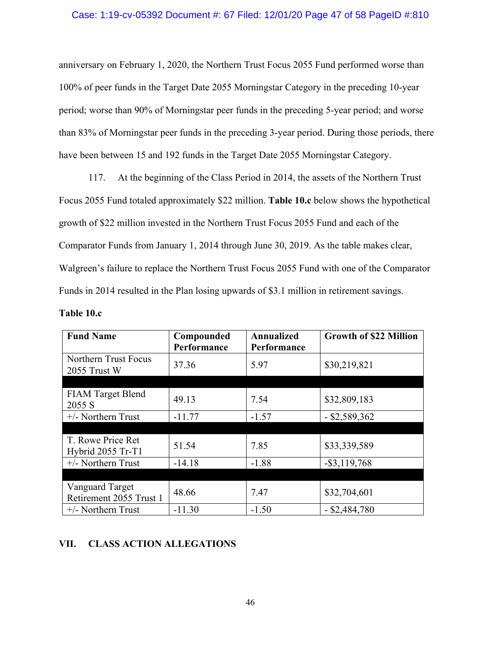## Case: 1:19-cv-05392 Document #: 67 Filed: 12/01/20 Page 47 of 58 PageID #:810

anniversary on February 1, 2020, the Northern Trust Focus 2055 Fund performed worse than 100% of peer funds in the Target Date 2055 Morningstar Category in the preceding 10-year period; worse than 90% of Morningstar peer funds in the preceding 5-year period; and worse than 83% of Morningstar peer funds in the preceding 3-year period. During those periods, there have been between 15 and 192 funds in the Target Date 2055 Morningstar Category.

117. At the beginning of the Class Period in 2014, the assets of the Northern Trust Focus 2055 Fund totaled approximately \$22 million. **Table 10.c** below shows the hypothetical growth of \$22 million invested in the Northern Trust Focus 2055 Fund and each of the Comparator Funds from January 1, 2014 through June 30, 2019. As the table makes clear, Walgreen's failure to replace the Northern Trust Focus 2055 Fund with one of the Comparator Funds in 2014 resulted in the Plan losing upwards of \$3.1 million in retirement savings.

| Table 10.c |  |  |
|------------|--|--|
|------------|--|--|

| <b>Fund Name</b>                                  | Compounded<br>Performance | <b>Annualized</b><br>Performance | <b>Growth of \$22 Million</b> |
|---------------------------------------------------|---------------------------|----------------------------------|-------------------------------|
| Northern Trust Focus<br>2055 Trust W              | 37.36                     | 5.97                             | \$30,219,821                  |
|                                                   |                           |                                  |                               |
| <b>FIAM Target Blend</b><br>2055 S                | 49.13                     | 7.54                             | \$32,809,183                  |
| $+/-$ Northern Trust                              | $-11.77$                  | $-1.57$                          | $-$ \$2,589,362               |
|                                                   |                           |                                  |                               |
| T. Rowe Price Ret<br>Hybrid 2055 Tr-T1            | 51.54                     | 7.85                             | \$33,339,589                  |
| $+/-$ Northern Trust                              | $-14.18$                  | $-1.88$                          | $-$ \$3,119,768               |
|                                                   |                           |                                  |                               |
| <b>Vanguard Target</b><br>Retirement 2055 Trust 1 | 48.66                     | 7.47                             | \$32,704,601                  |
| $+/-$ Northern Trust                              | $-11.30$                  | $-1.50$                          | $-$ \$2,484,780               |

## **VII. CLASS ACTION ALLEGATIONS**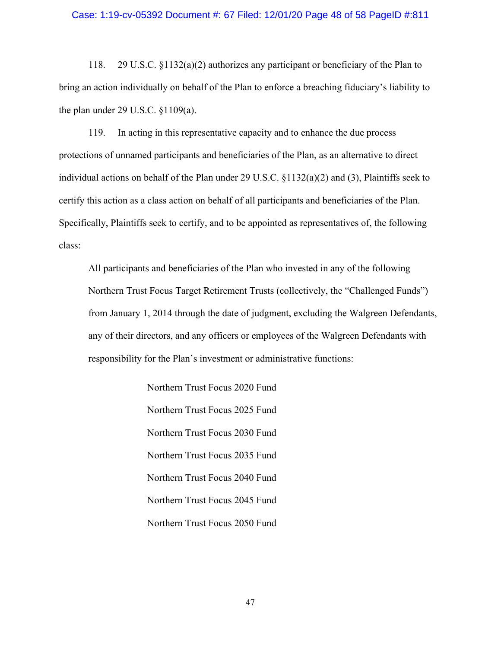### Case: 1:19-cv-05392 Document #: 67 Filed: 12/01/20 Page 48 of 58 PageID #:811

118. 29 U.S.C. §1132(a)(2) authorizes any participant or beneficiary of the Plan to bring an action individually on behalf of the Plan to enforce a breaching fiduciary's liability to the plan under 29 U.S.C. §1109(a).

119. In acting in this representative capacity and to enhance the due process protections of unnamed participants and beneficiaries of the Plan, as an alternative to direct individual actions on behalf of the Plan under 29 U.S.C. §1132(a)(2) and (3), Plaintiffs seek to certify this action as a class action on behalf of all participants and beneficiaries of the Plan. Specifically, Plaintiffs seek to certify, and to be appointed as representatives of, the following class:

All participants and beneficiaries of the Plan who invested in any of the following Northern Trust Focus Target Retirement Trusts (collectively, the "Challenged Funds") from January 1, 2014 through the date of judgment, excluding the Walgreen Defendants, any of their directors, and any officers or employees of the Walgreen Defendants with responsibility for the Plan's investment or administrative functions:

> Northern Trust Focus 2020 Fund Northern Trust Focus 2025 Fund Northern Trust Focus 2030 Fund Northern Trust Focus 2035 Fund Northern Trust Focus 2040 Fund Northern Trust Focus 2045 Fund Northern Trust Focus 2050 Fund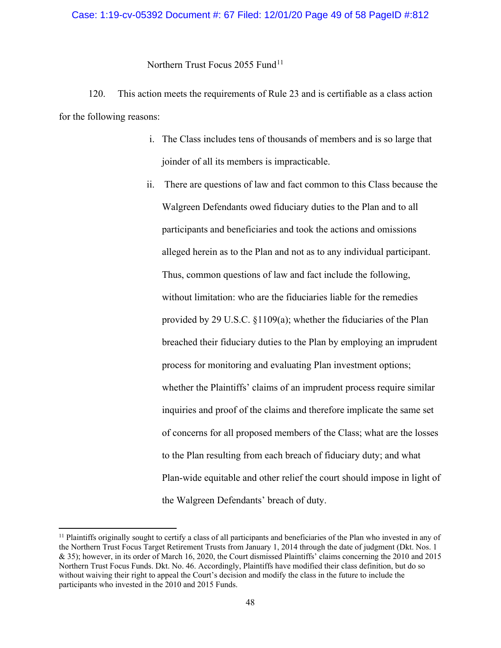## Case: 1:19-cv-05392 Document #: 67 Filed: 12/01/20 Page 49 of 58 PageID #:812

Northern Trust Focus 2055 Fund<sup>[11](#page-48-0)</sup>

120. This action meets the requirements of Rule 23 and is certifiable as a class action for the following reasons:

- i. The Class includes tens of thousands of members and is so large that joinder of all its members is impracticable.
- ii. There are questions of law and fact common to this Class because the Walgreen Defendants owed fiduciary duties to the Plan and to all participants and beneficiaries and took the actions and omissions alleged herein as to the Plan and not as to any individual participant. Thus, common questions of law and fact include the following, without limitation: who are the fiduciaries liable for the remedies provided by 29 U.S.C. §1109(a); whether the fiduciaries of the Plan breached their fiduciary duties to the Plan by employing an imprudent process for monitoring and evaluating Plan investment options; whether the Plaintiffs' claims of an imprudent process require similar inquiries and proof of the claims and therefore implicate the same set of concerns for all proposed members of the Class; what are the losses to the Plan resulting from each breach of fiduciary duty; and what Plan-wide equitable and other relief the court should impose in light of the Walgreen Defendants' breach of duty.

<span id="page-48-0"></span> $<sup>11</sup>$  Plaintiffs originally sought to certify a class of all participants and beneficiaries of the Plan who invested in any of</sup> the Northern Trust Focus Target Retirement Trusts from January 1, 2014 through the date of judgment (Dkt. Nos. 1 & 35); however, in its order of March 16, 2020, the Court dismissed Plaintiffs' claims concerning the 2010 and 2015 Northern Trust Focus Funds. Dkt. No. 46. Accordingly, Plaintiffs have modified their class definition, but do so without waiving their right to appeal the Court's decision and modify the class in the future to include the participants who invested in the 2010 and 2015 Funds.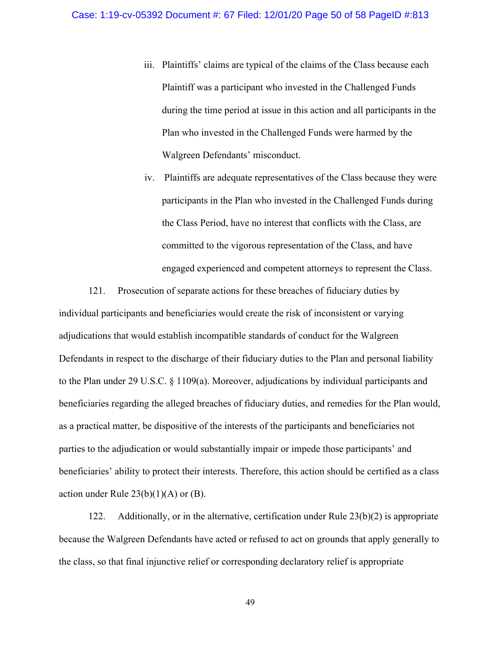- iii. Plaintiffs' claims are typical of the claims of the Class because each Plaintiff was a participant who invested in the Challenged Funds during the time period at issue in this action and all participants in the Plan who invested in the Challenged Funds were harmed by the Walgreen Defendants' misconduct.
- iv. Plaintiffs are adequate representatives of the Class because they were participants in the Plan who invested in the Challenged Funds during the Class Period, have no interest that conflicts with the Class, are committed to the vigorous representation of the Class, and have engaged experienced and competent attorneys to represent the Class.

121. Prosecution of separate actions for these breaches of fiduciary duties by individual participants and beneficiaries would create the risk of inconsistent or varying adjudications that would establish incompatible standards of conduct for the Walgreen Defendants in respect to the discharge of their fiduciary duties to the Plan and personal liability to the Plan under 29 U.S.C. § 1109(a). Moreover, adjudications by individual participants and beneficiaries regarding the alleged breaches of fiduciary duties, and remedies for the Plan would, as a practical matter, be dispositive of the interests of the participants and beneficiaries not parties to the adjudication or would substantially impair or impede those participants' and beneficiaries' ability to protect their interests. Therefore, this action should be certified as a class action under Rule  $23(b)(1)(A)$  or (B).

122. Additionally, or in the alternative, certification under Rule 23(b)(2) is appropriate because the Walgreen Defendants have acted or refused to act on grounds that apply generally to the class, so that final injunctive relief or corresponding declaratory relief is appropriate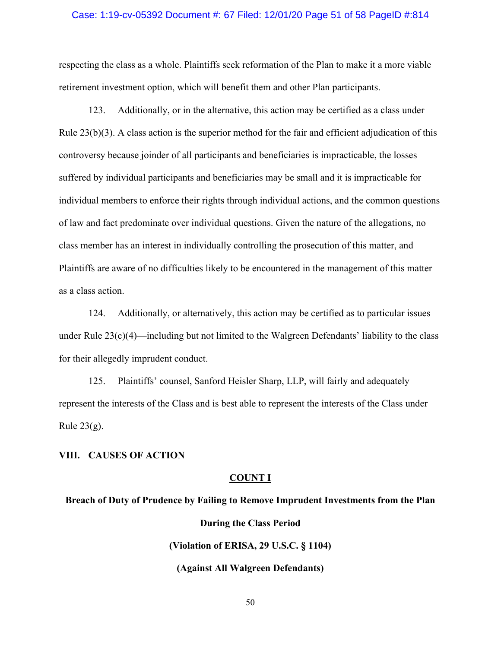### Case: 1:19-cv-05392 Document #: 67 Filed: 12/01/20 Page 51 of 58 PageID #:814

respecting the class as a whole. Plaintiffs seek reformation of the Plan to make it a more viable retirement investment option, which will benefit them and other Plan participants.

123. Additionally, or in the alternative, this action may be certified as a class under Rule 23(b)(3). A class action is the superior method for the fair and efficient adjudication of this controversy because joinder of all participants and beneficiaries is impracticable, the losses suffered by individual participants and beneficiaries may be small and it is impracticable for individual members to enforce their rights through individual actions, and the common questions of law and fact predominate over individual questions. Given the nature of the allegations, no class member has an interest in individually controlling the prosecution of this matter, and Plaintiffs are aware of no difficulties likely to be encountered in the management of this matter as a class action.

124. Additionally, or alternatively, this action may be certified as to particular issues under Rule  $23(c)(4)$ —including but not limited to the Walgreen Defendants' liability to the class for their allegedly imprudent conduct.

125. Plaintiffs' counsel, Sanford Heisler Sharp, LLP, will fairly and adequately represent the interests of the Class and is best able to represent the interests of the Class under Rule  $23(g)$ .

## **VIII. CAUSES OF ACTION**

## **COUNT I**

## **Breach of Duty of Prudence by Failing to Remove Imprudent Investments from the Plan**

**During the Class Period (Violation of ERISA, 29 U.S.C. § 1104) (Against All Walgreen Defendants)**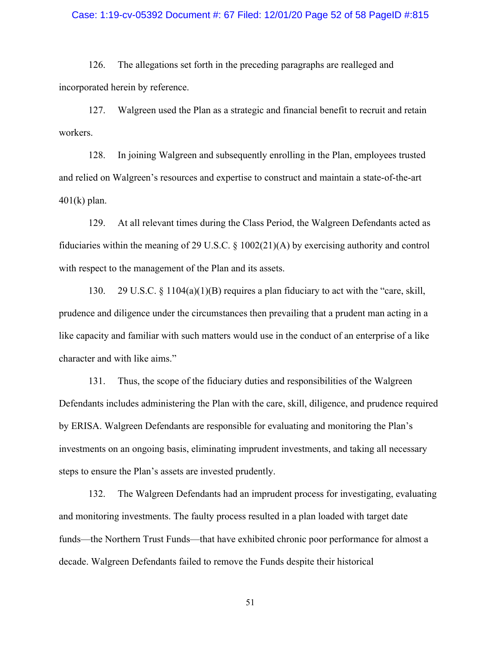### Case: 1:19-cv-05392 Document #: 67 Filed: 12/01/20 Page 52 of 58 PageID #:815

126. The allegations set forth in the preceding paragraphs are realleged and incorporated herein by reference.

127. Walgreen used the Plan as a strategic and financial benefit to recruit and retain workers.

128. In joining Walgreen and subsequently enrolling in the Plan, employees trusted and relied on Walgreen's resources and expertise to construct and maintain a state-of-the-art  $401(k)$  plan.

129. At all relevant times during the Class Period, the Walgreen Defendants acted as fiduciaries within the meaning of 29 U.S.C. § 1002(21)(A) by exercising authority and control with respect to the management of the Plan and its assets.

130. 29 U.S.C. § 1104(a)(1)(B) requires a plan fiduciary to act with the "care, skill, prudence and diligence under the circumstances then prevailing that a prudent man acting in a like capacity and familiar with such matters would use in the conduct of an enterprise of a like character and with like aims."

131. Thus, the scope of the fiduciary duties and responsibilities of the Walgreen Defendants includes administering the Plan with the care, skill, diligence, and prudence required by ERISA. Walgreen Defendants are responsible for evaluating and monitoring the Plan's investments on an ongoing basis, eliminating imprudent investments, and taking all necessary steps to ensure the Plan's assets are invested prudently.

132. The Walgreen Defendants had an imprudent process for investigating, evaluating and monitoring investments. The faulty process resulted in a plan loaded with target date funds—the Northern Trust Funds—that have exhibited chronic poor performance for almost a decade. Walgreen Defendants failed to remove the Funds despite their historical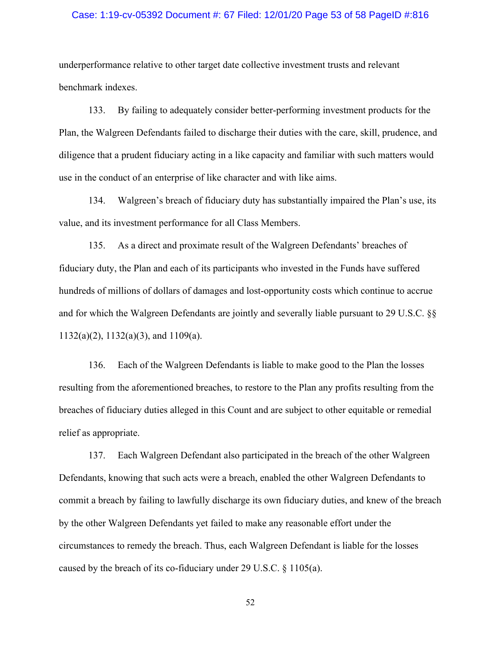### Case: 1:19-cv-05392 Document #: 67 Filed: 12/01/20 Page 53 of 58 PageID #:816

underperformance relative to other target date collective investment trusts and relevant benchmark indexes.

133. By failing to adequately consider better-performing investment products for the Plan, the Walgreen Defendants failed to discharge their duties with the care, skill, prudence, and diligence that a prudent fiduciary acting in a like capacity and familiar with such matters would use in the conduct of an enterprise of like character and with like aims.

134. Walgreen's breach of fiduciary duty has substantially impaired the Plan's use, its value, and its investment performance for all Class Members.

135. As a direct and proximate result of the Walgreen Defendants' breaches of fiduciary duty, the Plan and each of its participants who invested in the Funds have suffered hundreds of millions of dollars of damages and lost-opportunity costs which continue to accrue and for which the Walgreen Defendants are jointly and severally liable pursuant to 29 U.S.C. §§ 1132(a)(2), 1132(a)(3), and 1109(a).

136. Each of the Walgreen Defendants is liable to make good to the Plan the losses resulting from the aforementioned breaches, to restore to the Plan any profits resulting from the breaches of fiduciary duties alleged in this Count and are subject to other equitable or remedial relief as appropriate.

137. Each Walgreen Defendant also participated in the breach of the other Walgreen Defendants, knowing that such acts were a breach, enabled the other Walgreen Defendants to commit a breach by failing to lawfully discharge its own fiduciary duties, and knew of the breach by the other Walgreen Defendants yet failed to make any reasonable effort under the circumstances to remedy the breach. Thus, each Walgreen Defendant is liable for the losses caused by the breach of its co-fiduciary under 29 U.S.C. § 1105(a).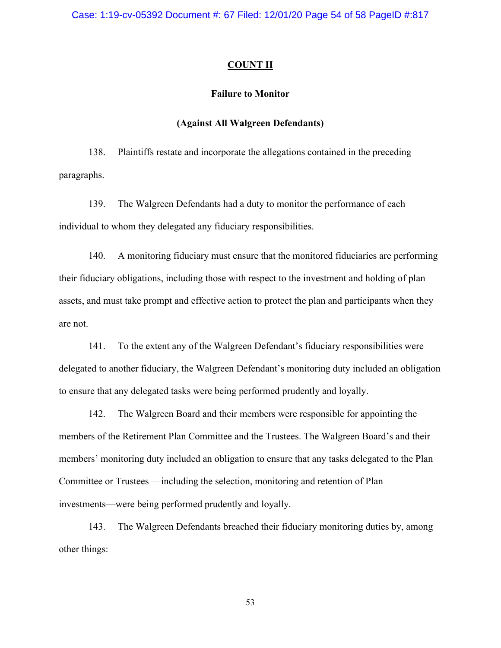Case: 1:19-cv-05392 Document #: 67 Filed: 12/01/20 Page 54 of 58 PageID #:817

### **COUNT II**

### **Failure to Monitor**

## **(Against All Walgreen Defendants)**

138. Plaintiffs restate and incorporate the allegations contained in the preceding paragraphs.

139. The Walgreen Defendants had a duty to monitor the performance of each individual to whom they delegated any fiduciary responsibilities.

140. A monitoring fiduciary must ensure that the monitored fiduciaries are performing their fiduciary obligations, including those with respect to the investment and holding of plan assets, and must take prompt and effective action to protect the plan and participants when they are not.

141. To the extent any of the Walgreen Defendant's fiduciary responsibilities were delegated to another fiduciary, the Walgreen Defendant's monitoring duty included an obligation to ensure that any delegated tasks were being performed prudently and loyally.

142. The Walgreen Board and their members were responsible for appointing the members of the Retirement Plan Committee and the Trustees. The Walgreen Board's and their members' monitoring duty included an obligation to ensure that any tasks delegated to the Plan Committee or Trustees —including the selection, monitoring and retention of Plan investments—were being performed prudently and loyally.

143. The Walgreen Defendants breached their fiduciary monitoring duties by, among other things: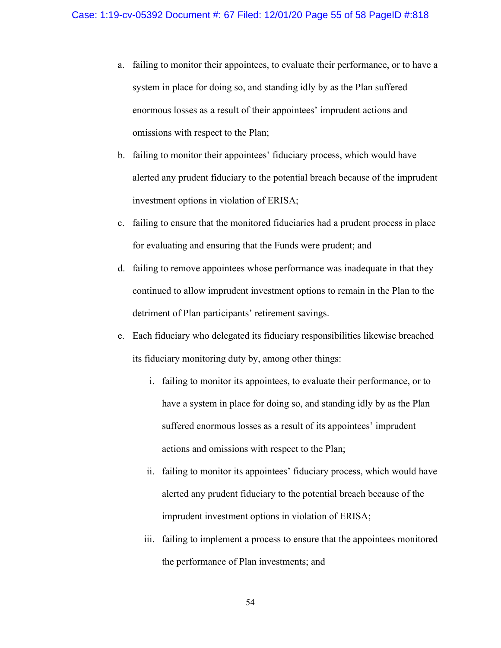- a. failing to monitor their appointees, to evaluate their performance, or to have a system in place for doing so, and standing idly by as the Plan suffered enormous losses as a result of their appointees' imprudent actions and omissions with respect to the Plan;
- b. failing to monitor their appointees' fiduciary process, which would have alerted any prudent fiduciary to the potential breach because of the imprudent investment options in violation of ERISA;
- c. failing to ensure that the monitored fiduciaries had a prudent process in place for evaluating and ensuring that the Funds were prudent; and
- d. failing to remove appointees whose performance was inadequate in that they continued to allow imprudent investment options to remain in the Plan to the detriment of Plan participants' retirement savings.
- e. Each fiduciary who delegated its fiduciary responsibilities likewise breached its fiduciary monitoring duty by, among other things:
	- i. failing to monitor its appointees, to evaluate their performance, or to have a system in place for doing so, and standing idly by as the Plan suffered enormous losses as a result of its appointees' imprudent actions and omissions with respect to the Plan;
	- ii. failing to monitor its appointees' fiduciary process, which would have alerted any prudent fiduciary to the potential breach because of the imprudent investment options in violation of ERISA;
	- iii. failing to implement a process to ensure that the appointees monitored the performance of Plan investments; and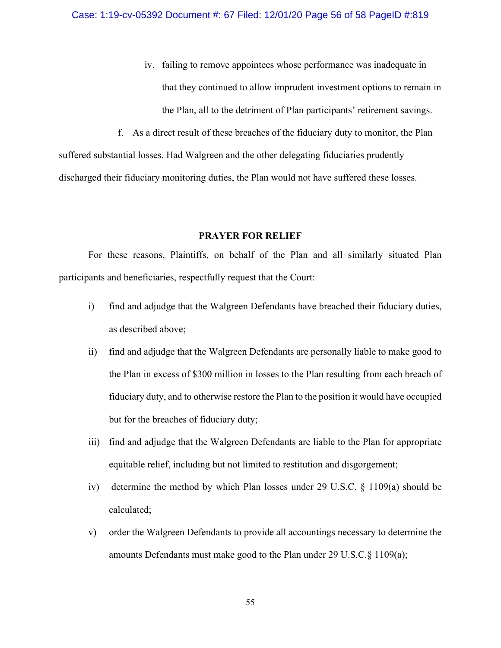- iv. failing to remove appointees whose performance was inadequate in that they continued to allow imprudent investment options to remain in the Plan, all to the detriment of Plan participants' retirement savings.
- f. As a direct result of these breaches of the fiduciary duty to monitor, the Plan

suffered substantial losses. Had Walgreen and the other delegating fiduciaries prudently discharged their fiduciary monitoring duties, the Plan would not have suffered these losses.

### **PRAYER FOR RELIEF**

For these reasons, Plaintiffs, on behalf of the Plan and all similarly situated Plan participants and beneficiaries, respectfully request that the Court:

- i) find and adjudge that the Walgreen Defendants have breached their fiduciary duties, as described above;
- ii) find and adjudge that the Walgreen Defendants are personally liable to make good to the Plan in excess of \$300 million in losses to the Plan resulting from each breach of fiduciary duty, and to otherwise restore the Plan to the position it would have occupied but for the breaches of fiduciary duty;
- iii) find and adjudge that the Walgreen Defendants are liable to the Plan for appropriate equitable relief, including but not limited to restitution and disgorgement;
- iv) determine the method by which Plan losses under 29 U.S.C. § 1109(a) should be calculated;
- v) order the Walgreen Defendants to provide all accountings necessary to determine the amounts Defendants must make good to the Plan under 29 U.S.C.§ 1109(a);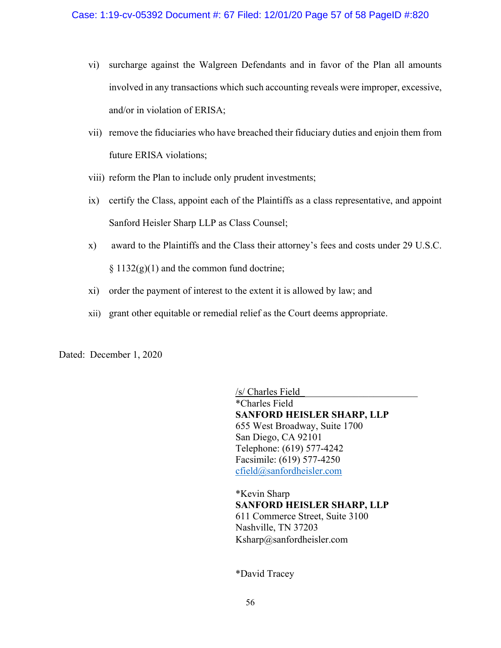- vi) surcharge against the Walgreen Defendants and in favor of the Plan all amounts involved in any transactions which such accounting reveals were improper, excessive, and/or in violation of ERISA;
- vii) remove the fiduciaries who have breached their fiduciary duties and enjoin them from future ERISA violations;
- viii) reform the Plan to include only prudent investments;
- ix) certify the Class, appoint each of the Plaintiffs as a class representative, and appoint Sanford Heisler Sharp LLP as Class Counsel;
- x) award to the Plaintiffs and the Class their attorney's fees and costs under 29 U.S.C.  $§ 1132(g)(1)$  and the common fund doctrine;
- xi) order the payment of interest to the extent it is allowed by law; and
- xii) grant other equitable or remedial relief as the Court deems appropriate.

Dated: December 1, 2020

/s/ Charles Field\_\_\_\_\_\_\_\_\_\_\_\_\_\_\_\_\_\_\_\_\_\_\_\_ \*Charles Field **SANFORD HEISLER SHARP, LLP** 655 West Broadway, Suite 1700 San Diego, CA 92101 Telephone: (619) 577-4242 Facsimile: (619) 577-4250 [cfield@sanfordheisler.com](mailto:cfield@sanfordheisler.com)

\*Kevin Sharp **SANFORD HEISLER SHARP, LLP** 611 Commerce Street, Suite 3100 Nashville, TN 37203 Ksharp@sanfordheisler.com

\*David Tracey